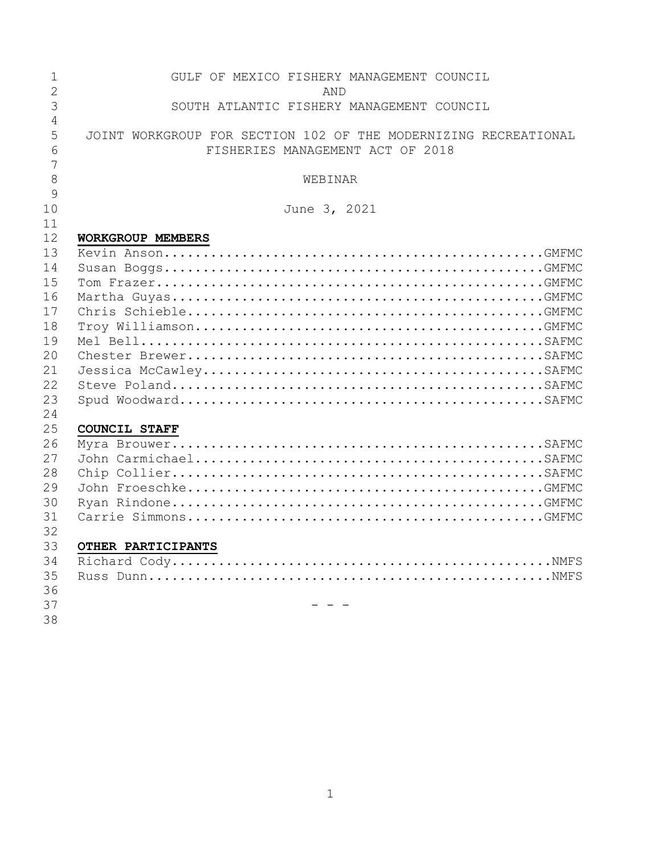| $\mathbf{1}$   | GULF OF MEXICO FISHERY MANAGEMENT COUNCIL                       |
|----------------|-----------------------------------------------------------------|
| $\overline{2}$ | AND                                                             |
| 3              | SOUTH ATLANTIC FISHERY MANAGEMENT COUNCIL                       |
| 4              |                                                                 |
| 5              | JOINT WORKGROUP FOR SECTION 102 OF THE MODERNIZING RECREATIONAL |
| 6              | FISHERIES MANAGEMENT ACT OF 2018                                |
| 7              |                                                                 |
| 8<br>9         | WEBINAR                                                         |
| 10             | June 3, 2021                                                    |
| 11             |                                                                 |
| 12             | WORKGROUP MEMBERS                                               |
| 13             |                                                                 |
| 14             |                                                                 |
| 15             |                                                                 |
| 16             |                                                                 |
| 17             |                                                                 |
| 18             |                                                                 |
| 19             |                                                                 |
| 20             |                                                                 |
| 21             |                                                                 |
| 22             |                                                                 |
| 23             |                                                                 |
| 24             |                                                                 |
| 25             | <b>COUNCIL STAFF</b>                                            |
| 26             |                                                                 |
| 27             |                                                                 |
| 28             |                                                                 |
| 29             |                                                                 |
| 30             |                                                                 |
| 31             |                                                                 |
| 32             |                                                                 |
| 33             | OTHER PARTICIPANTS                                              |
| 34             |                                                                 |
| 35             |                                                                 |
| 36             |                                                                 |
| 37             |                                                                 |
| 38             |                                                                 |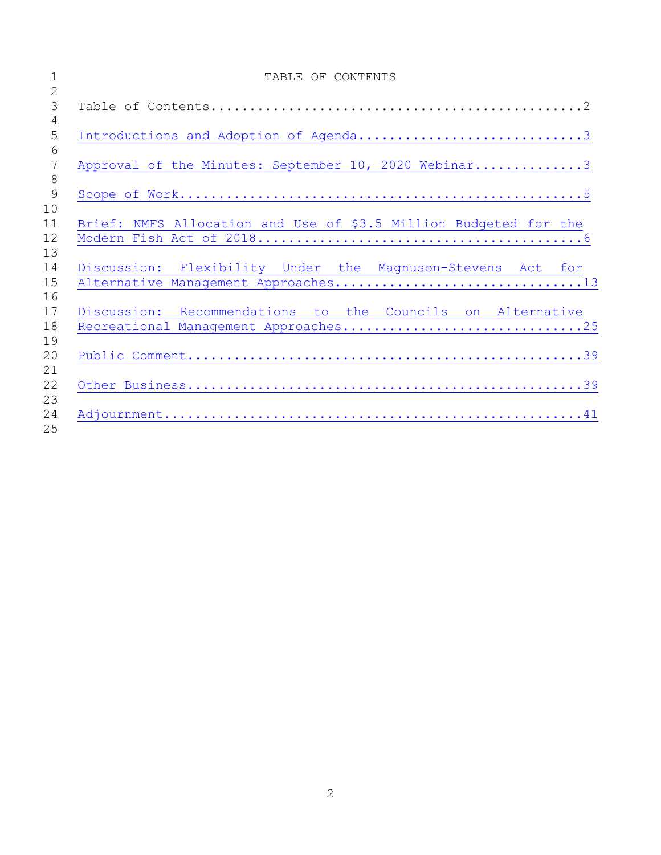|                | TABLE OF CONTENTS                                                |
|----------------|------------------------------------------------------------------|
| $\overline{2}$ |                                                                  |
| 3              |                                                                  |
| $\overline{4}$ |                                                                  |
| 5              | Introductions and Adoption of Agenda3                            |
| 6              |                                                                  |
| 7              | Approval of the Minutes: September 10, 2020 Webinar3             |
| 8              |                                                                  |
| 9              |                                                                  |
| 10             |                                                                  |
| 11             | Brief: NMFS Allocation and Use of \$3.5 Million Budgeted for the |
| 12             |                                                                  |
| 13             |                                                                  |
| 14             | Discussion: Flexibility Under the Magnuson-Stevens Act for       |
| 15             |                                                                  |
| 16             |                                                                  |
| 17             | Discussion: Recommendations to the Councils on Alternative       |
| 18             | Recreational Management Approaches25                             |
| 19             |                                                                  |
| 20             |                                                                  |
| 21             |                                                                  |
| 22             |                                                                  |
| 23             |                                                                  |
| 24             |                                                                  |
| 25             |                                                                  |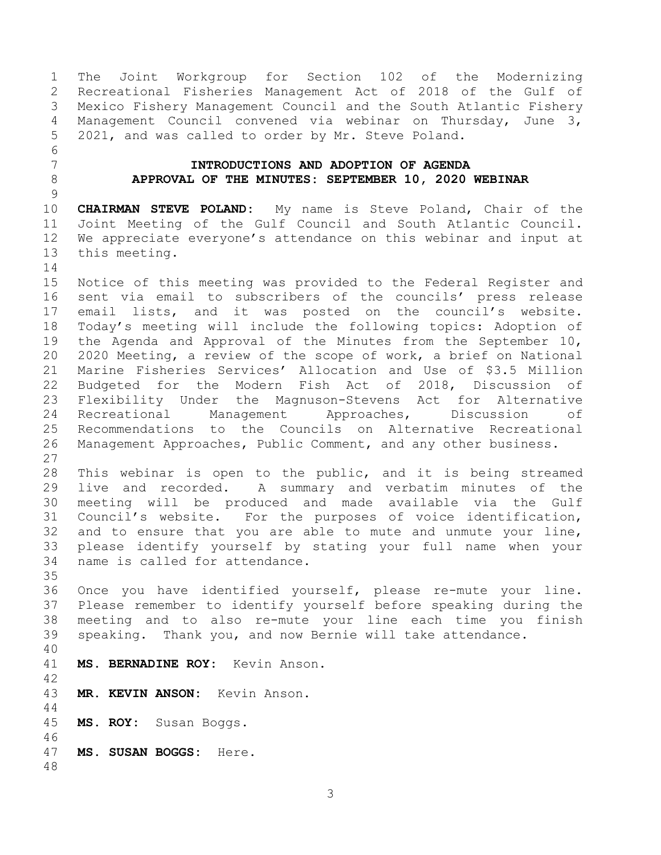<span id="page-2-1"></span><span id="page-2-0"></span> The Joint Workgroup for Section 102 of the Modernizing Recreational Fisheries Management Act of 2018 of the Gulf of Mexico Fishery Management Council and the South Atlantic Fishery Management Council convened via webinar on Thursday, June 3, 2021, and was called to order by Mr. Steve Poland. **INTRODUCTIONS AND ADOPTION OF AGENDA APPROVAL OF THE MINUTES: SEPTEMBER 10, 2020 WEBINAR CHAIRMAN STEVE POLAND:** My name is Steve Poland, Chair of the Joint Meeting of the Gulf Council and South Atlantic Council. We appreciate everyone's attendance on this webinar and input at this meeting. Notice of this meeting was provided to the Federal Register and sent via email to subscribers of the councils' press release email lists, and it was posted on the council's website. Today's meeting will include the following topics: Adoption of the Agenda and Approval of the Minutes from the September 10, 2020 Meeting, a review of the scope of work, a brief on National Marine Fisheries Services' Allocation and Use of \$3.5 Million Budgeted for the Modern Fish Act of 2018, Discussion of Flexibility Under the Magnuson-Stevens Act for Alternative Recreational Management Approaches, Discussion of Recommendations to the Councils on Alternative Recreational Management Approaches, Public Comment, and any other business. This webinar is open to the public, and it is being streamed live and recorded. A summary and verbatim minutes of the meeting will be produced and made available via the Gulf Council's website. For the purposes of voice identification, and to ensure that you are able to mute and unmute your line, please identify yourself by stating your full name when your name is called for attendance. Once you have identified yourself, please re-mute your line. Please remember to identify yourself before speaking during the meeting and to also re-mute your line each time you finish speaking. Thank you, and now Bernie will take attendance. **MS. BERNADINE ROY:** Kevin Anson. **MR. KEVIN ANSON:** Kevin Anson. **MS. ROY:** Susan Boggs. **MS. SUSAN BOGGS:** Here.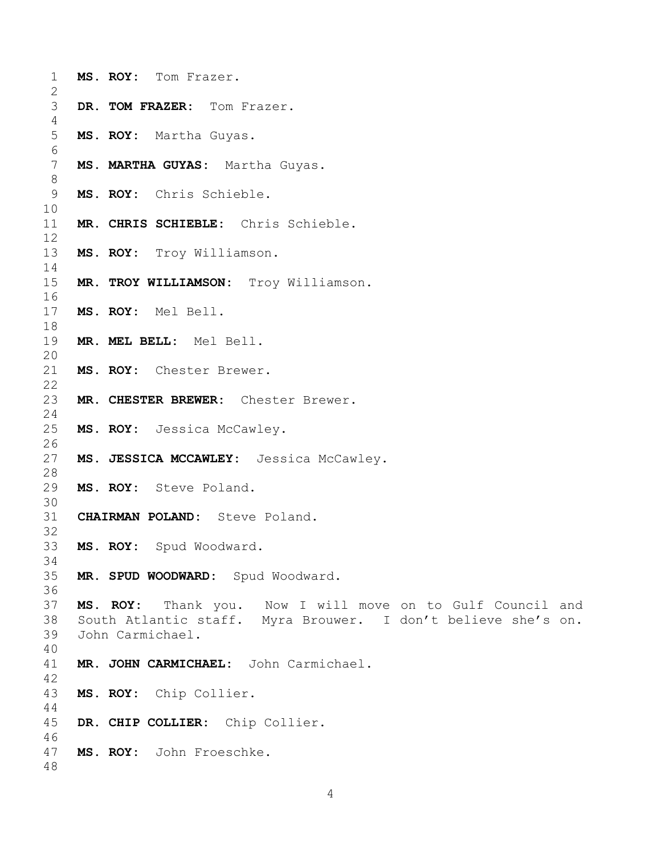| $\mathbf 1$<br>$\overline{2}$ |                  | MS. ROY: Tom Frazer.                                          |
|-------------------------------|------------------|---------------------------------------------------------------|
| 3                             |                  |                                                               |
| 4                             |                  | DR. TOM FRAZER: Tom Frazer.                                   |
| 5                             |                  | MS. ROY: Martha Guyas.                                        |
| $\epsilon$                    |                  |                                                               |
| $\overline{7}$                |                  | MS. MARTHA GUYAS: Martha Guyas.                               |
| $\,8\,$                       |                  |                                                               |
| 9                             |                  | MS. ROY: Chris Schieble.                                      |
| 10                            |                  |                                                               |
| 11                            |                  | MR. CHRIS SCHIEBLE: Chris Schieble.                           |
| 12                            |                  |                                                               |
| 13                            |                  | MS. ROY: Troy Williamson.                                     |
| 14                            |                  |                                                               |
| 15                            |                  | MR. TROY WILLIAMSON: Troy Williamson.                         |
| 16                            |                  |                                                               |
| 17                            |                  | MS. ROY: Mel Bell.                                            |
| 18                            |                  |                                                               |
| 19                            |                  | MR. MEL BELL: Mel Bell.                                       |
| 20                            |                  |                                                               |
| 21                            |                  | MS. ROY: Chester Brewer.                                      |
| 22                            |                  |                                                               |
| 23                            |                  | MR. CHESTER BREWER: Chester Brewer.                           |
| 24                            |                  |                                                               |
| 25                            |                  | MS. ROY: Jessica McCawley.                                    |
| 26                            |                  |                                                               |
| 27                            |                  | MS. JESSICA MCCAWLEY: Jessica McCawley.                       |
| 28                            |                  |                                                               |
| 29                            |                  | MS. ROY: Steve Poland.                                        |
| 30                            |                  |                                                               |
| 31                            |                  | CHAIRMAN POLAND: Steve Poland.                                |
| 32                            |                  |                                                               |
| 33                            |                  | MS. ROY: Spud Woodward.                                       |
| 34                            |                  |                                                               |
| 35                            |                  | MR. SPUD WOODWARD: Spud Woodward.                             |
| 36                            |                  |                                                               |
| 37                            |                  | MS. ROY: Thank you. Now I will move on to Gulf Council and    |
| 38                            |                  | South Atlantic staff. Myra Brouwer. I don't believe she's on. |
| 39                            | John Carmichael. |                                                               |
| 40                            |                  |                                                               |
| 41                            |                  | MR. JOHN CARMICHAEL: John Carmichael.                         |
| 42                            |                  |                                                               |
| 43                            |                  | MS. ROY: Chip Collier.                                        |
| 44                            |                  |                                                               |
| 45                            |                  | DR. CHIP COLLIER: Chip Collier.                               |
| 46                            |                  |                                                               |
| 47                            |                  | MS. ROY: John Froeschke.                                      |
| 48                            |                  |                                                               |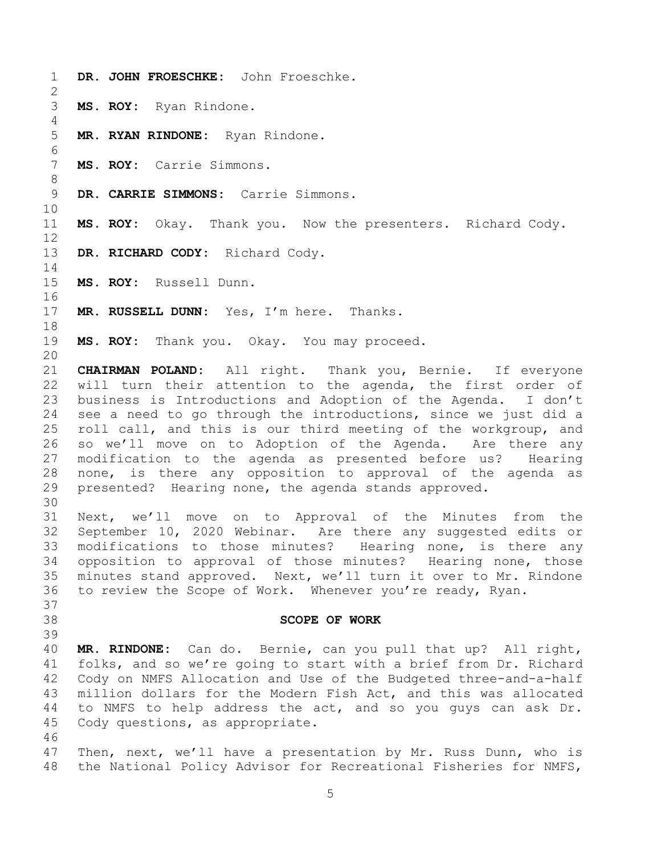<span id="page-4-0"></span> **DR. JOHN FROESCHKE:** John Froeschke. **MS. ROY:** Ryan Rindone. **MR. RYAN RINDONE:** Ryan Rindone. **MS. ROY:** Carrie Simmons. **DR. CARRIE SIMMONS:** Carrie Simmons. **MS. ROY:** Okay. Thank you. Now the presenters. Richard Cody. **DR. RICHARD CODY:** Richard Cody. **MS. ROY:** Russell Dunn. **MR. RUSSELL DUNN:** Yes, I'm here. Thanks. **MS. ROY:** Thank you. Okay. You may proceed. **CHAIRMAN POLAND:** All right. Thank you, Bernie. If everyone will turn their attention to the agenda, the first order of business is Introductions and Adoption of the Agenda. I don't see a need to go through the introductions, since we just did a roll call, and this is our third meeting of the workgroup, and so we'll move on to Adoption of the Agenda. Are there any modification to the agenda as presented before us? Hearing none, is there any opposition to approval of the agenda as presented? Hearing none, the agenda stands approved. Next, we'll move on to Approval of the Minutes from the September 10, 2020 Webinar. Are there any suggested edits or modifications to those minutes? Hearing none, is there any opposition to approval of those minutes? Hearing none, those minutes stand approved. Next, we'll turn it over to Mr. Rindone to review the Scope of Work. Whenever you're ready, Ryan. **SCOPE OF WORK MR. RINDONE:** Can do. Bernie, can you pull that up? All right, folks, and so we're going to start with a brief from Dr. Richard Cody on NMFS Allocation and Use of the Budgeted three-and-a-half million dollars for the Modern Fish Act, and this was allocated to NMFS to help address the act, and so you guys can ask Dr. Cody questions, as appropriate. Then, next, we'll have a presentation by Mr. Russ Dunn, who is the National Policy Advisor for Recreational Fisheries for NMFS,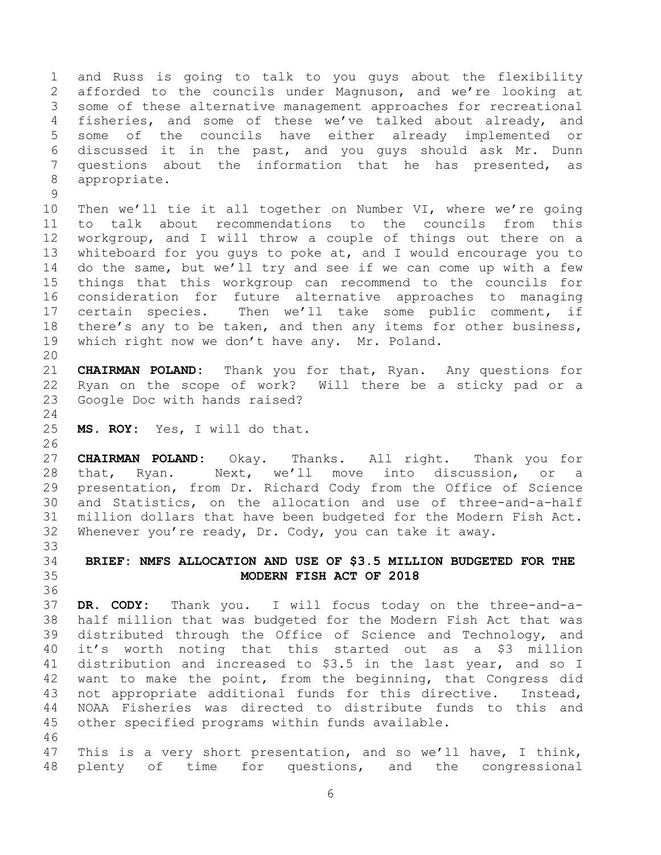and Russ is going to talk to you guys about the flexibility afforded to the councils under Magnuson, and we're looking at some of these alternative management approaches for recreational 4 fisheries, and some of these we've talked about already, and some of the councils have either already implemented or discussed it in the past, and you guys should ask Mr. Dunn questions about the information that he has presented, as appropriate.

 Then we'll tie it all together on Number VI, where we're going to talk about recommendations to the councils from this workgroup, and I will throw a couple of things out there on a whiteboard for you guys to poke at, and I would encourage you to do the same, but we'll try and see if we can come up with a few things that this workgroup can recommend to the councils for consideration for future alternative approaches to managing certain species. Then we'll take some public comment, if there's any to be taken, and then any items for other business, which right now we don't have any. Mr. Poland.

 **CHAIRMAN POLAND:** Thank you for that, Ryan. Any questions for Ryan on the scope of work? Will there be a sticky pad or a Google Doc with hands raised?

**MS. ROY:** Yes, I will do that.

 **CHAIRMAN POLAND:** Okay. Thanks. All right. Thank you for that, Ryan. Next, we'll move into discussion, or a presentation, from Dr. Richard Cody from the Office of Science and Statistics, on the allocation and use of three-and-a-half million dollars that have been budgeted for the Modern Fish Act. Whenever you're ready, Dr. Cody, you can take it away. 

## <span id="page-5-0"></span> **BRIEF: NMFS ALLOCATION AND USE OF \$3.5 MILLION BUDGETED FOR THE MODERN FISH ACT OF 2018**

 **DR. CODY:** Thank you. I will focus today on the three-and-a- half million that was budgeted for the Modern Fish Act that was distributed through the Office of Science and Technology, and it's worth noting that this started out as a \$3 million distribution and increased to \$3.5 in the last year, and so I want to make the point, from the beginning, that Congress did not appropriate additional funds for this directive. Instead, NOAA Fisheries was directed to distribute funds to this and other specified programs within funds available. 

 This is a very short presentation, and so we'll have, I think, plenty of time for questions, and the congressional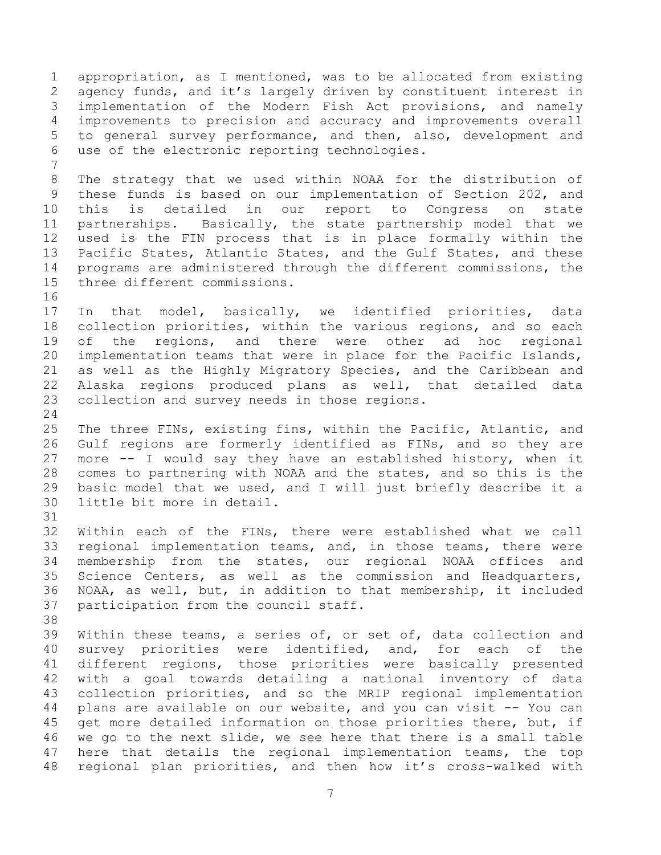appropriation, as I mentioned, was to be allocated from existing agency funds, and it's largely driven by constituent interest in implementation of the Modern Fish Act provisions, and namely improvements to precision and accuracy and improvements overall to general survey performance, and then, also, development and use of the electronic reporting technologies. The strategy that we used within NOAA for the distribution of these funds is based on our implementation of Section 202, and this is detailed in our report to Congress on state partnerships. Basically, the state partnership model that we used is the FIN process that is in place formally within the Pacific States, Atlantic States, and the Gulf States, and these programs are administered through the different commissions, the three different commissions. In that model, basically, we identified priorities, data collection priorities, within the various regions, and so each of the regions, and there were other ad hoc regional implementation teams that were in place for the Pacific Islands, as well as the Highly Migratory Species, and the Caribbean and Alaska regions produced plans as well, that detailed data collection and survey needs in those regions. The three FINs, existing fins, within the Pacific, Atlantic, and Gulf regions are formerly identified as FINs, and so they are more -- I would say they have an established history, when it comes to partnering with NOAA and the states, and so this is the basic model that we used, and I will just briefly describe it a little bit more in detail. Within each of the FINs, there were established what we call regional implementation teams, and, in those teams, there were membership from the states, our regional NOAA offices and Science Centers, as well as the commission and Headquarters, NOAA, as well, but, in addition to that membership, it included participation from the council staff. Within these teams, a series of, or set of, data collection and survey priorities were identified, and, for each of the different regions, those priorities were basically presented with a goal towards detailing a national inventory of data collection priorities, and so the MRIP regional implementation plans are available on our website, and you can visit -- You can 45 get more detailed information on those priorities there, but, if we go to the next slide, we see here that there is a small table here that details the regional implementation teams, the top regional plan priorities, and then how it's cross-walked with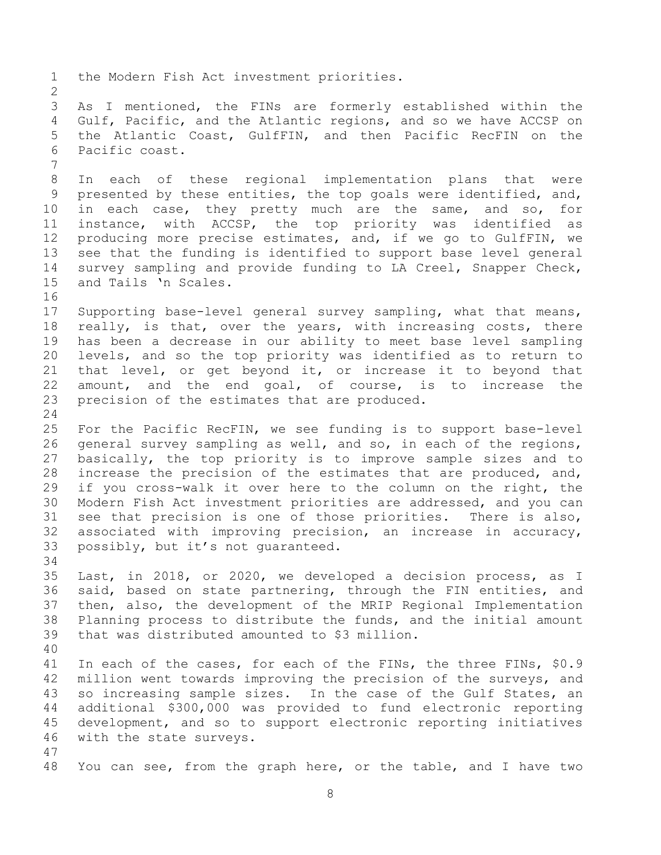the Modern Fish Act investment priorities. As I mentioned, the FINs are formerly established within the Gulf, Pacific, and the Atlantic regions, and so we have ACCSP on the Atlantic Coast, GulfFIN, and then Pacific RecFIN on the Pacific coast. In each of these regional implementation plans that were presented by these entities, the top goals were identified, and, in each case, they pretty much are the same, and so, for instance, with ACCSP, the top priority was identified as producing more precise estimates, and, if we go to GulfFIN, we see that the funding is identified to support base level general survey sampling and provide funding to LA Creel, Snapper Check, and Tails 'n Scales. Supporting base-level general survey sampling, what that means, really, is that, over the years, with increasing costs, there has been a decrease in our ability to meet base level sampling levels, and so the top priority was identified as to return to that level, or get beyond it, or increase it to beyond that amount, and the end goal, of course, is to increase the precision of the estimates that are produced. For the Pacific RecFIN, we see funding is to support base-level general survey sampling as well, and so, in each of the regions, basically, the top priority is to improve sample sizes and to increase the precision of the estimates that are produced, and, if you cross-walk it over here to the column on the right, the Modern Fish Act investment priorities are addressed, and you can see that precision is one of those priorities. There is also, associated with improving precision, an increase in accuracy, possibly, but it's not guaranteed. Last, in 2018, or 2020, we developed a decision process, as I said, based on state partnering, through the FIN entities, and then, also, the development of the MRIP Regional Implementation Planning process to distribute the funds, and the initial amount that was distributed amounted to \$3 million. In each of the cases, for each of the FINs, the three FINs, \$0.9 million went towards improving the precision of the surveys, and so increasing sample sizes. In the case of the Gulf States, an additional \$300,000 was provided to fund electronic reporting development, and so to support electronic reporting initiatives with the state surveys. You can see, from the graph here, or the table, and I have two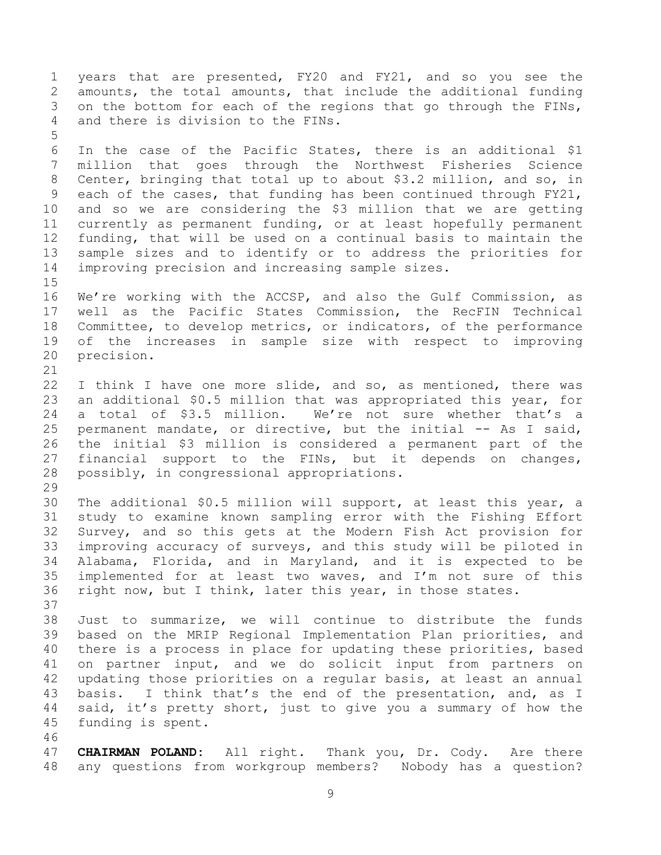years that are presented, FY20 and FY21, and so you see the amounts, the total amounts, that include the additional funding on the bottom for each of the regions that go through the FINs, and there is division to the FINs. In the case of the Pacific States, there is an additional \$1 million that goes through the Northwest Fisheries Science Center, bringing that total up to about \$3.2 million, and so, in each of the cases, that funding has been continued through FY21, and so we are considering the \$3 million that we are getting currently as permanent funding, or at least hopefully permanent funding, that will be used on a continual basis to maintain the sample sizes and to identify or to address the priorities for improving precision and increasing sample sizes. We're working with the ACCSP, and also the Gulf Commission, as well as the Pacific States Commission, the RecFIN Technical Committee, to develop metrics, or indicators, of the performance of the increases in sample size with respect to improving precision. I think I have one more slide, and so, as mentioned, there was an additional \$0.5 million that was appropriated this year, for a total of \$3.5 million. We're not sure whether that's a permanent mandate, or directive, but the initial -- As I said, the initial \$3 million is considered a permanent part of the financial support to the FINs, but it depends on changes, possibly, in congressional appropriations. The additional \$0.5 million will support, at least this year, a study to examine known sampling error with the Fishing Effort Survey, and so this gets at the Modern Fish Act provision for improving accuracy of surveys, and this study will be piloted in Alabama, Florida, and in Maryland, and it is expected to be implemented for at least two waves, and I'm not sure of this right now, but I think, later this year, in those states. Just to summarize, we will continue to distribute the funds based on the MRIP Regional Implementation Plan priorities, and there is a process in place for updating these priorities, based on partner input, and we do solicit input from partners on updating those priorities on a regular basis, at least an annual basis. I think that's the end of the presentation, and, as I said, it's pretty short, just to give you a summary of how the funding is spent. **CHAIRMAN POLAND:** All right. Thank you, Dr. Cody. Are there any questions from workgroup members? Nobody has a question?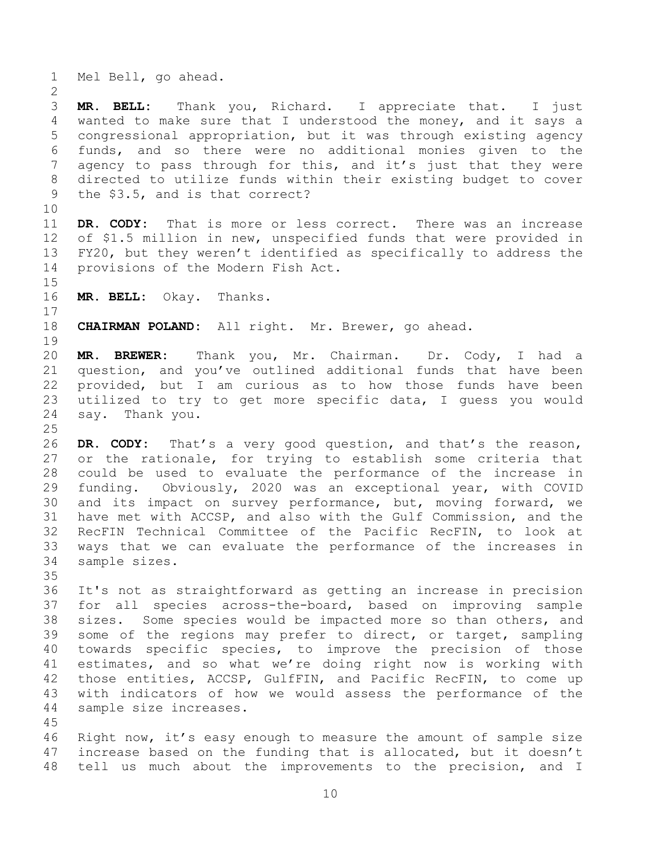Mel Bell, go ahead.

 **MR. BELL:** Thank you, Richard. I appreciate that. I just wanted to make sure that I understood the money, and it says a congressional appropriation, but it was through existing agency funds, and so there were no additional monies given to the 7 agency to pass through for this, and it's just that they were directed to utilize funds within their existing budget to cover the \$3.5, and is that correct?

 **DR. CODY:** That is more or less correct. There was an increase of \$1.5 million in new, unspecified funds that were provided in FY20, but they weren't identified as specifically to address the provisions of the Modern Fish Act.

**MR. BELL:** Okay. Thanks.

**CHAIRMAN POLAND:** All right. Mr. Brewer, go ahead.

 **MR. BREWER:** Thank you, Mr. Chairman. Dr. Cody, I had a question, and you've outlined additional funds that have been provided, but I am curious as to how those funds have been utilized to try to get more specific data, I guess you would say. Thank you.

 **DR. CODY:** That's a very good question, and that's the reason, or the rationale, for trying to establish some criteria that could be used to evaluate the performance of the increase in funding. Obviously, 2020 was an exceptional year, with COVID and its impact on survey performance, but, moving forward, we have met with ACCSP, and also with the Gulf Commission, and the RecFIN Technical Committee of the Pacific RecFIN, to look at ways that we can evaluate the performance of the increases in sample sizes.

 It's not as straightforward as getting an increase in precision for all species across-the-board, based on improving sample sizes. Some species would be impacted more so than others, and some of the regions may prefer to direct, or target, sampling towards specific species, to improve the precision of those estimates, and so what we're doing right now is working with those entities, ACCSP, GulfFIN, and Pacific RecFIN, to come up with indicators of how we would assess the performance of the sample size increases.

 Right now, it's easy enough to measure the amount of sample size increase based on the funding that is allocated, but it doesn't tell us much about the improvements to the precision, and I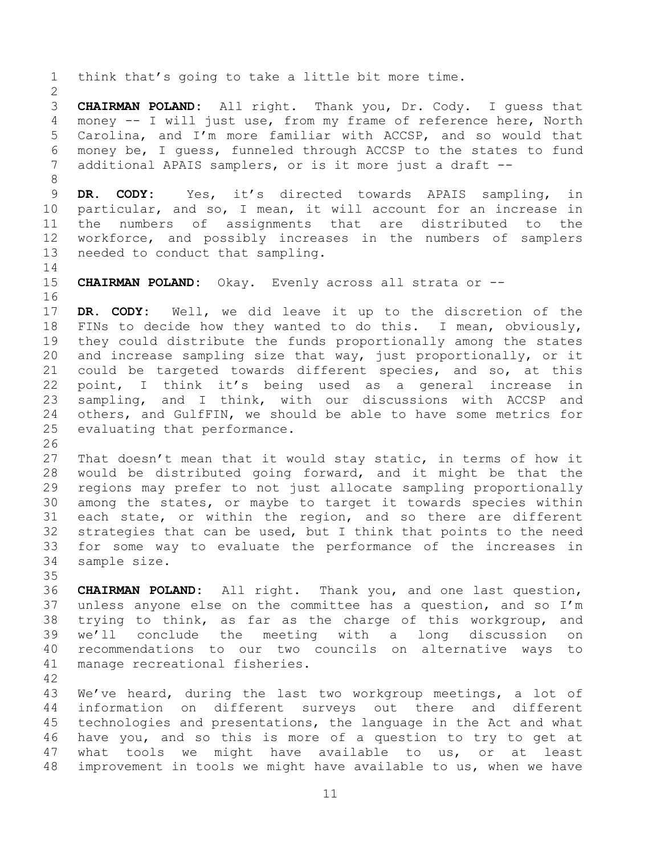think that's going to take a little bit more time. **CHAIRMAN POLAND:** All right. Thank you, Dr. Cody. I guess that money -- I will just use, from my frame of reference here, North Carolina, and I'm more familiar with ACCSP, and so would that money be, I guess, funneled through ACCSP to the states to fund additional APAIS samplers, or is it more just a draft -- **DR. CODY:** Yes, it's directed towards APAIS sampling, in particular, and so, I mean, it will account for an increase in the numbers of assignments that are distributed to the workforce, and possibly increases in the numbers of samplers needed to conduct that sampling. **CHAIRMAN POLAND:** Okay. Evenly across all strata or -- **DR. CODY:** Well, we did leave it up to the discretion of the FINs to decide how they wanted to do this. I mean, obviously, they could distribute the funds proportionally among the states and increase sampling size that way, just proportionally, or it could be targeted towards different species, and so, at this point, I think it's being used as a general increase in sampling, and I think, with our discussions with ACCSP and others, and GulfFIN, we should be able to have some metrics for evaluating that performance. That doesn't mean that it would stay static, in terms of how it would be distributed going forward, and it might be that the regions may prefer to not just allocate sampling proportionally among the states, or maybe to target it towards species within each state, or within the region, and so there are different strategies that can be used, but I think that points to the need for some way to evaluate the performance of the increases in sample size. **CHAIRMAN POLAND:** All right. Thank you, and one last question, unless anyone else on the committee has a question, and so I'm trying to think, as far as the charge of this workgroup, and we'll conclude the meeting with a long discussion on recommendations to our two councils on alternative ways to manage recreational fisheries. We've heard, during the last two workgroup meetings, a lot of information on different surveys out there and different technologies and presentations, the language in the Act and what have you, and so this is more of a question to try to get at what tools we might have available to us, or at least

improvement in tools we might have available to us, when we have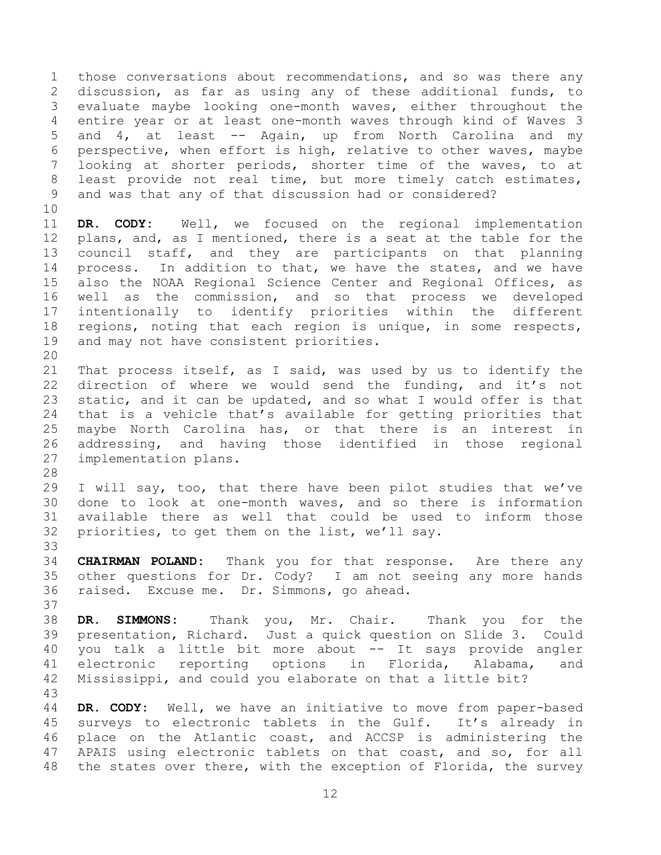those conversations about recommendations, and so was there any discussion, as far as using any of these additional funds, to evaluate maybe looking one-month waves, either throughout the entire year or at least one-month waves through kind of Waves 3 and 4, at least -- Again, up from North Carolina and my perspective, when effort is high, relative to other waves, maybe looking at shorter periods, shorter time of the waves, to at least provide not real time, but more timely catch estimates, and was that any of that discussion had or considered?

 **DR. CODY:** Well, we focused on the regional implementation plans, and, as I mentioned, there is a seat at the table for the council staff, and they are participants on that planning process. In addition to that, we have the states, and we have also the NOAA Regional Science Center and Regional Offices, as well as the commission, and so that process we developed intentionally to identify priorities within the different regions, noting that each region is unique, in some respects, and may not have consistent priorities.

 That process itself, as I said, was used by us to identify the direction of where we would send the funding, and it's not 23 static, and it can be updated, and so what I would offer is that that is a vehicle that's available for getting priorities that maybe North Carolina has, or that there is an interest in addressing, and having those identified in those regional implementation plans.

 I will say, too, that there have been pilot studies that we've done to look at one-month waves, and so there is information available there as well that could be used to inform those priorities, to get them on the list, we'll say.

 **CHAIRMAN POLAND:** Thank you for that response. Are there any other questions for Dr. Cody? I am not seeing any more hands raised. Excuse me. Dr. Simmons, go ahead.

 **DR. SIMMONS:** Thank you, Mr. Chair. Thank you for the presentation, Richard. Just a quick question on Slide 3. Could you talk a little bit more about -- It says provide angler electronic reporting options in Florida, Alabama, and Mississippi, and could you elaborate on that a little bit? 

 **DR. CODY:** Well, we have an initiative to move from paper-based surveys to electronic tablets in the Gulf. It's already in place on the Atlantic coast, and ACCSP is administering the APAIS using electronic tablets on that coast, and so, for all the states over there, with the exception of Florida, the survey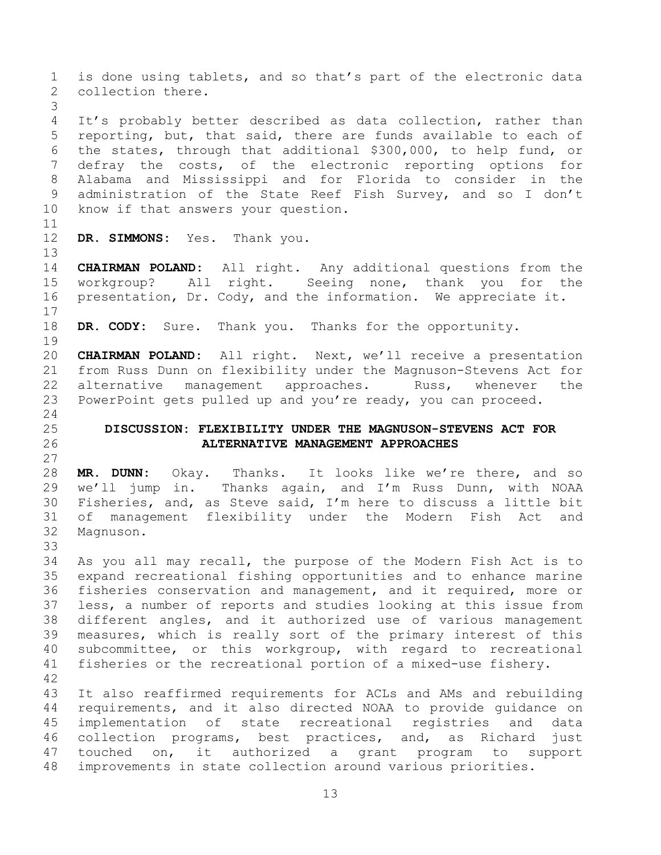<span id="page-12-0"></span> is done using tablets, and so that's part of the electronic data collection there. It's probably better described as data collection, rather than reporting, but, that said, there are funds available to each of the states, through that additional \$300,000, to help fund, or defray the costs, of the electronic reporting options for Alabama and Mississippi and for Florida to consider in the administration of the State Reef Fish Survey, and so I don't know if that answers your question. **DR. SIMMONS:** Yes. Thank you. **CHAIRMAN POLAND:** All right. Any additional questions from the workgroup? All right. Seeing none, thank you for the presentation, Dr. Cody, and the information. We appreciate it. **DR. CODY:** Sure. Thank you. Thanks for the opportunity. **CHAIRMAN POLAND:** All right. Next, we'll receive a presentation from Russ Dunn on flexibility under the Magnuson-Stevens Act for 22 alternative management approaches. Russ, whenever the PowerPoint gets pulled up and you're ready, you can proceed. **DISCUSSION: FLEXIBILITY UNDER THE MAGNUSON-STEVENS ACT FOR ALTERNATIVE MANAGEMENT APPROACHES MR. DUNN:** Okay. Thanks. It looks like we're there, and so we'll jump in. Thanks again, and I'm Russ Dunn, with NOAA Fisheries, and, as Steve said, I'm here to discuss a little bit of management flexibility under the Modern Fish Act and Magnuson. As you all may recall, the purpose of the Modern Fish Act is to expand recreational fishing opportunities and to enhance marine fisheries conservation and management, and it required, more or less, a number of reports and studies looking at this issue from different angles, and it authorized use of various management measures, which is really sort of the primary interest of this subcommittee, or this workgroup, with regard to recreational fisheries or the recreational portion of a mixed-use fishery. It also reaffirmed requirements for ACLs and AMs and rebuilding requirements, and it also directed NOAA to provide guidance on implementation of state recreational registries and data collection programs, best practices, and, as Richard just touched on, it authorized a grant program to support improvements in state collection around various priorities.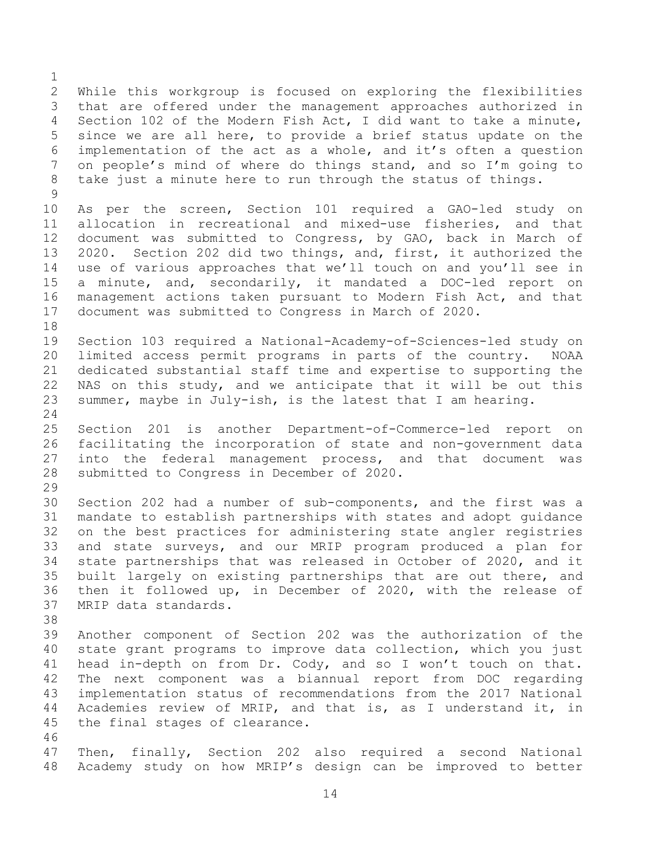While this workgroup is focused on exploring the flexibilities that are offered under the management approaches authorized in Section 102 of the Modern Fish Act, I did want to take a minute, since we are all here, to provide a brief status update on the implementation of the act as a whole, and it's often a question on people's mind of where do things stand, and so I'm going to take just a minute here to run through the status of things. As per the screen, Section 101 required a GAO-led study on allocation in recreational and mixed-use fisheries, and that document was submitted to Congress, by GAO, back in March of 2020. Section 202 did two things, and, first, it authorized the use of various approaches that we'll touch on and you'll see in a minute, and, secondarily, it mandated a DOC-led report on management actions taken pursuant to Modern Fish Act, and that document was submitted to Congress in March of 2020. Section 103 required a National-Academy-of-Sciences-led study on limited access permit programs in parts of the country. NOAA dedicated substantial staff time and expertise to supporting the NAS on this study, and we anticipate that it will be out this summer, maybe in July-ish, is the latest that I am hearing. Section 201 is another Department-of-Commerce-led report on facilitating the incorporation of state and non-government data into the federal management process, and that document was submitted to Congress in December of 2020. Section 202 had a number of sub-components, and the first was a mandate to establish partnerships with states and adopt guidance on the best practices for administering state angler registries and state surveys, and our MRIP program produced a plan for state partnerships that was released in October of 2020, and it built largely on existing partnerships that are out there, and then it followed up, in December of 2020, with the release of MRIP data standards. Another component of Section 202 was the authorization of the state grant programs to improve data collection, which you just head in-depth on from Dr. Cody, and so I won't touch on that. The next component was a biannual report from DOC regarding implementation status of recommendations from the 2017 National Academies review of MRIP, and that is, as I understand it, in the final stages of clearance. Then, finally, Section 202 also required a second National

Academy study on how MRIP's design can be improved to better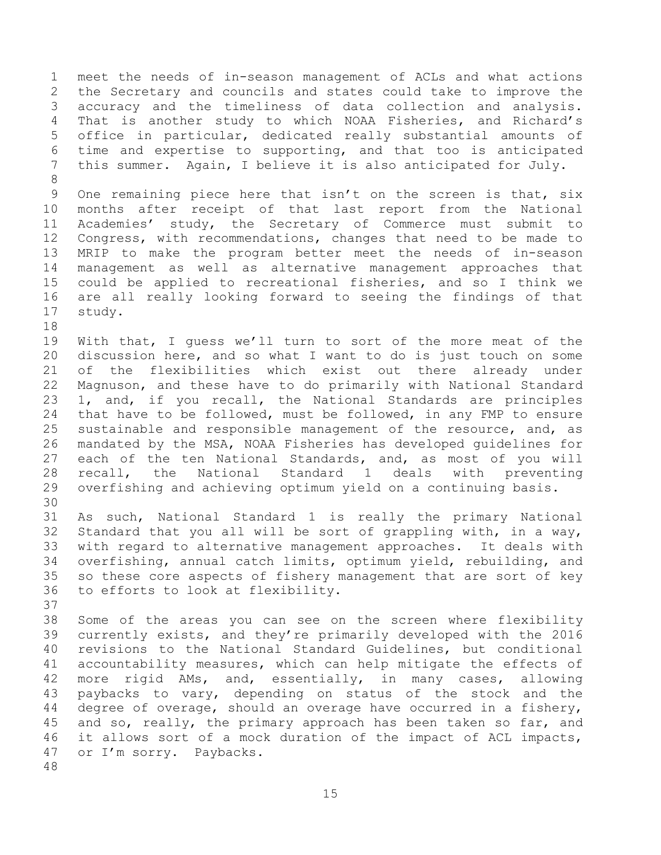meet the needs of in-season management of ACLs and what actions the Secretary and councils and states could take to improve the accuracy and the timeliness of data collection and analysis. That is another study to which NOAA Fisheries, and Richard's office in particular, dedicated really substantial amounts of time and expertise to supporting, and that too is anticipated this summer. Again, I believe it is also anticipated for July. 

 One remaining piece here that isn't on the screen is that, six months after receipt of that last report from the National Academies' study, the Secretary of Commerce must submit to Congress, with recommendations, changes that need to be made to MRIP to make the program better meet the needs of in-season management as well as alternative management approaches that could be applied to recreational fisheries, and so I think we are all really looking forward to seeing the findings of that study.

 With that, I guess we'll turn to sort of the more meat of the discussion here, and so what I want to do is just touch on some of the flexibilities which exist out there already under Magnuson, and these have to do primarily with National Standard 1, and, if you recall, the National Standards are principles that have to be followed, must be followed, in any FMP to ensure sustainable and responsible management of the resource, and, as mandated by the MSA, NOAA Fisheries has developed guidelines for each of the ten National Standards, and, as most of you will recall, the National Standard 1 deals with preventing overfishing and achieving optimum yield on a continuing basis.

 As such, National Standard 1 is really the primary National Standard that you all will be sort of grappling with, in a way, with regard to alternative management approaches. It deals with overfishing, annual catch limits, optimum yield, rebuilding, and so these core aspects of fishery management that are sort of key to efforts to look at flexibility.

 Some of the areas you can see on the screen where flexibility currently exists, and they're primarily developed with the 2016 revisions to the National Standard Guidelines, but conditional accountability measures, which can help mitigate the effects of more rigid AMs, and, essentially, in many cases, allowing paybacks to vary, depending on status of the stock and the degree of overage, should an overage have occurred in a fishery, and so, really, the primary approach has been taken so far, and it allows sort of a mock duration of the impact of ACL impacts, or I'm sorry. Paybacks.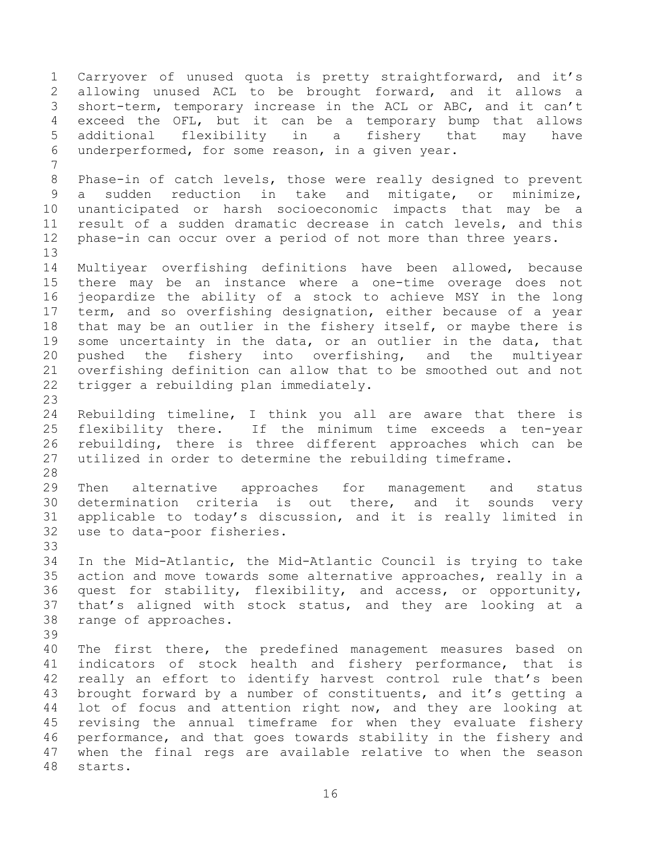Carryover of unused quota is pretty straightforward, and it's allowing unused ACL to be brought forward, and it allows a short-term, temporary increase in the ACL or ABC, and it can't exceed the OFL, but it can be a temporary bump that allows additional flexibility in a fishery that may have underperformed, for some reason, in a given year. Phase-in of catch levels, those were really designed to prevent a sudden reduction in take and mitigate, or minimize, unanticipated or harsh socioeconomic impacts that may be a result of a sudden dramatic decrease in catch levels, and this phase-in can occur over a period of not more than three years. Multiyear overfishing definitions have been allowed, because there may be an instance where a one-time overage does not jeopardize the ability of a stock to achieve MSY in the long term, and so overfishing designation, either because of a year that may be an outlier in the fishery itself, or maybe there is some uncertainty in the data, or an outlier in the data, that pushed the fishery into overfishing, and the multiyear overfishing definition can allow that to be smoothed out and not trigger a rebuilding plan immediately. Rebuilding timeline, I think you all are aware that there is flexibility there. If the minimum time exceeds a ten-year rebuilding, there is three different approaches which can be utilized in order to determine the rebuilding timeframe. Then alternative approaches for management and status determination criteria is out there, and it sounds very applicable to today's discussion, and it is really limited in use to data-poor fisheries. In the Mid-Atlantic, the Mid-Atlantic Council is trying to take action and move towards some alternative approaches, really in a quest for stability, flexibility, and access, or opportunity, that's aligned with stock status, and they are looking at a range of approaches. The first there, the predefined management measures based on indicators of stock health and fishery performance, that is really an effort to identify harvest control rule that's been brought forward by a number of constituents, and it's getting a lot of focus and attention right now, and they are looking at revising the annual timeframe for when they evaluate fishery performance, and that goes towards stability in the fishery and when the final regs are available relative to when the season starts.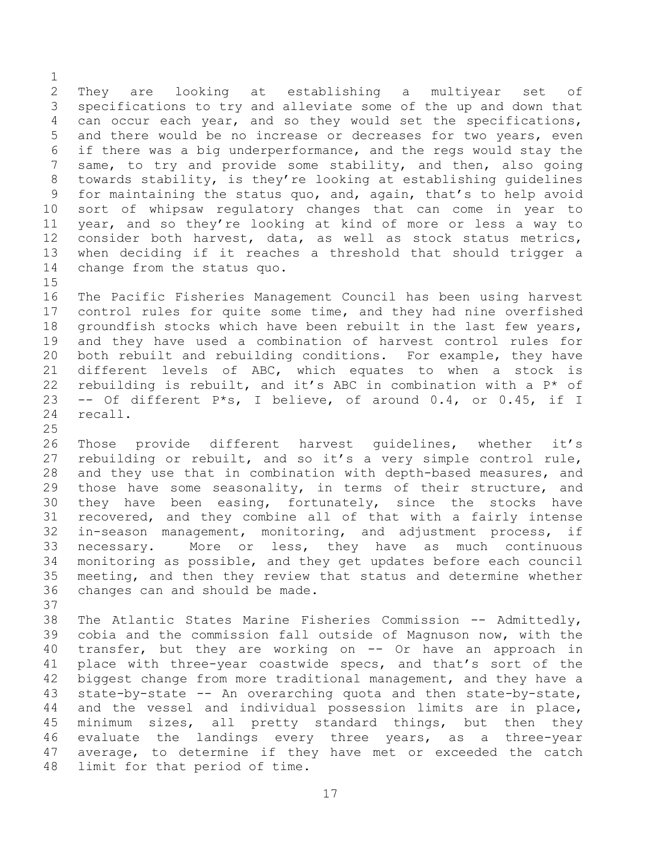They are looking at establishing a multiyear set of specifications to try and alleviate some of the up and down that can occur each year, and so they would set the specifications, and there would be no increase or decreases for two years, even if there was a big underperformance, and the regs would stay the same, to try and provide some stability, and then, also going towards stability, is they're looking at establishing guidelines for maintaining the status quo, and, again, that's to help avoid sort of whipsaw regulatory changes that can come in year to year, and so they're looking at kind of more or less a way to consider both harvest, data, as well as stock status metrics, when deciding if it reaches a threshold that should trigger a change from the status quo. 

 The Pacific Fisheries Management Council has been using harvest control rules for quite some time, and they had nine overfished groundfish stocks which have been rebuilt in the last few years, and they have used a combination of harvest control rules for both rebuilt and rebuilding conditions. For example, they have different levels of ABC, which equates to when a stock is rebuilding is rebuilt, and it's ABC in combination with a P\* of -- Of different P\*s, I believe, of around 0.4, or 0.45, if I recall.

 Those provide different harvest guidelines, whether it's rebuilding or rebuilt, and so it's a very simple control rule, and they use that in combination with depth-based measures, and those have some seasonality, in terms of their structure, and they have been easing, fortunately, since the stocks have recovered, and they combine all of that with a fairly intense in-season management, monitoring, and adjustment process, if necessary. More or less, they have as much continuous monitoring as possible, and they get updates before each council meeting, and then they review that status and determine whether changes can and should be made.

 The Atlantic States Marine Fisheries Commission -- Admittedly, cobia and the commission fall outside of Magnuson now, with the transfer, but they are working on -- Or have an approach in place with three-year coastwide specs, and that's sort of the biggest change from more traditional management, and they have a state-by-state -- An overarching quota and then state-by-state, and the vessel and individual possession limits are in place, minimum sizes, all pretty standard things, but then they evaluate the landings every three years, as a three-year average, to determine if they have met or exceeded the catch limit for that period of time.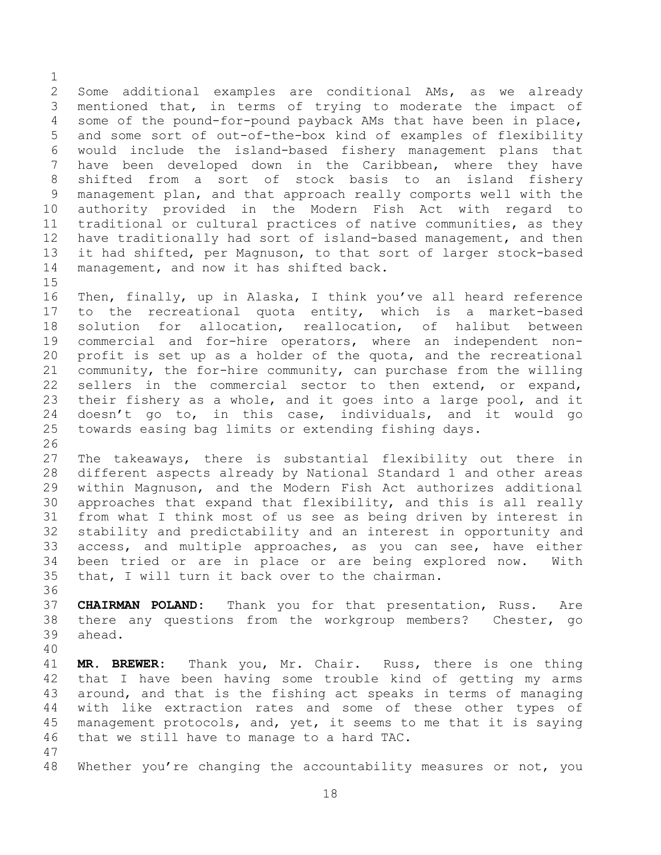Some additional examples are conditional AMs, as we already mentioned that, in terms of trying to moderate the impact of some of the pound-for-pound payback AMs that have been in place, and some sort of out-of-the-box kind of examples of flexibility would include the island-based fishery management plans that have been developed down in the Caribbean, where they have shifted from a sort of stock basis to an island fishery management plan, and that approach really comports well with the authority provided in the Modern Fish Act with regard to traditional or cultural practices of native communities, as they have traditionally had sort of island-based management, and then it had shifted, per Magnuson, to that sort of larger stock-based management, and now it has shifted back. 

 Then, finally, up in Alaska, I think you've all heard reference to the recreational quota entity, which is a market-based solution for allocation, reallocation, of halibut between commercial and for-hire operators, where an independent non- profit is set up as a holder of the quota, and the recreational community, the for-hire community, can purchase from the willing sellers in the commercial sector to then extend, or expand, their fishery as a whole, and it goes into a large pool, and it doesn't go to, in this case, individuals, and it would go towards easing bag limits or extending fishing days.

 The takeaways, there is substantial flexibility out there in different aspects already by National Standard 1 and other areas within Magnuson, and the Modern Fish Act authorizes additional approaches that expand that flexibility, and this is all really from what I think most of us see as being driven by interest in stability and predictability and an interest in opportunity and access, and multiple approaches, as you can see, have either been tried or are in place or are being explored now. With that, I will turn it back over to the chairman.

 **CHAIRMAN POLAND:** Thank you for that presentation, Russ. Are there any questions from the workgroup members? Chester, go ahead.

 **MR. BREWER:** Thank you, Mr. Chair. Russ, there is one thing that I have been having some trouble kind of getting my arms around, and that is the fishing act speaks in terms of managing with like extraction rates and some of these other types of management protocols, and, yet, it seems to me that it is saying that we still have to manage to a hard TAC.

Whether you're changing the accountability measures or not, you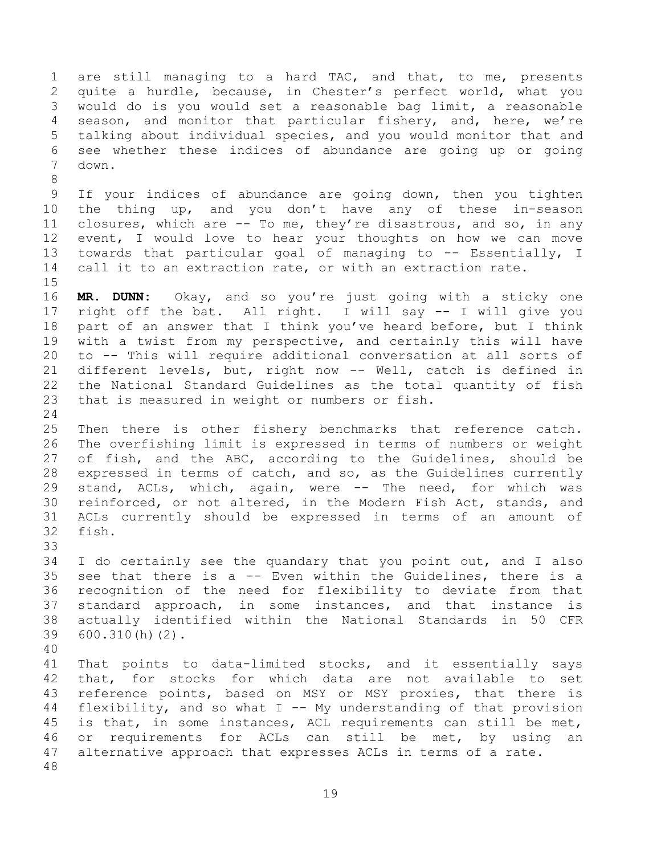are still managing to a hard TAC, and that, to me, presents quite a hurdle, because, in Chester's perfect world, what you would do is you would set a reasonable bag limit, a reasonable season, and monitor that particular fishery, and, here, we're talking about individual species, and you would monitor that and see whether these indices of abundance are going up or going down. 

 If your indices of abundance are going down, then you tighten the thing up, and you don't have any of these in-season closures, which are -- To me, they're disastrous, and so, in any event, I would love to hear your thoughts on how we can move 13 towards that particular goal of managing to -- Essentially, I call it to an extraction rate, or with an extraction rate.

 **MR. DUNN:** Okay, and so you're just going with a sticky one right off the bat. All right. I will say -- I will give you part of an answer that I think you've heard before, but I think with a twist from my perspective, and certainly this will have to -- This will require additional conversation at all sorts of different levels, but, right now -- Well, catch is defined in the National Standard Guidelines as the total quantity of fish that is measured in weight or numbers or fish.

 Then there is other fishery benchmarks that reference catch. The overfishing limit is expressed in terms of numbers or weight of fish, and the ABC, according to the Guidelines, should be expressed in terms of catch, and so, as the Guidelines currently stand, ACLs, which, again, were -- The need, for which was reinforced, or not altered, in the Modern Fish Act, stands, and ACLs currently should be expressed in terms of an amount of fish.

 I do certainly see the quandary that you point out, and I also see that there is a -- Even within the Guidelines, there is a recognition of the need for flexibility to deviate from that standard approach, in some instances, and that instance is actually identified within the National Standards in 50 CFR 600.310(h)(2).

 That points to data-limited stocks, and it essentially says that, for stocks for which data are not available to set reference points, based on MSY or MSY proxies, that there is flexibility, and so what I -- My understanding of that provision is that, in some instances, ACL requirements can still be met, or requirements for ACLs can still be met, by using an alternative approach that expresses ACLs in terms of a rate.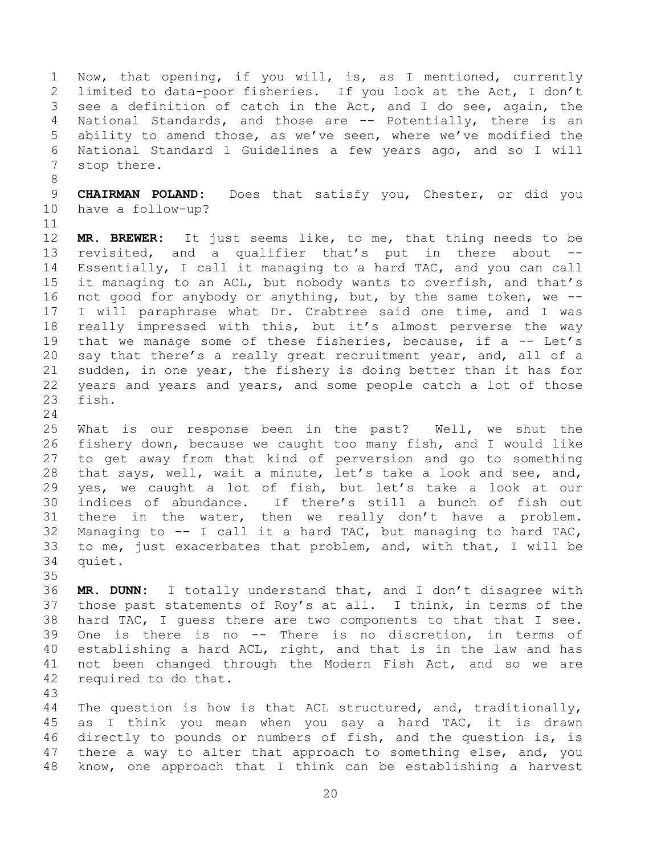Now, that opening, if you will, is, as I mentioned, currently limited to data-poor fisheries. If you look at the Act, I don't see a definition of catch in the Act, and I do see, again, the National Standards, and those are -- Potentially, there is an ability to amend those, as we've seen, where we've modified the National Standard 1 Guidelines a few years ago, and so I will stop there.

 **CHAIRMAN POLAND:** Does that satisfy you, Chester, or did you have a follow-up?

 **MR. BREWER:** It just seems like, to me, that thing needs to be revisited, and a qualifier that's put in there about -- Essentially, I call it managing to a hard TAC, and you can call it managing to an ACL, but nobody wants to overfish, and that's not good for anybody or anything, but, by the same token, we -- I will paraphrase what Dr. Crabtree said one time, and I was really impressed with this, but it's almost perverse the way 19 that we manage some of these fisheries, because, if a -- Let's say that there's a really great recruitment year, and, all of a sudden, in one year, the fishery is doing better than it has for years and years and years, and some people catch a lot of those fish.

 What is our response been in the past? Well, we shut the fishery down, because we caught too many fish, and I would like to get away from that kind of perversion and go to something 28 that says, well, wait a minute, let's take a look and see, and, yes, we caught a lot of fish, but let's take a look at our indices of abundance. If there's still a bunch of fish out there in the water, then we really don't have a problem. 32 Managing to  $-$  I call it a hard TAC, but managing to hard TAC, to me, just exacerbates that problem, and, with that, I will be quiet.

 **MR. DUNN:** I totally understand that, and I don't disagree with those past statements of Roy's at all. I think, in terms of the hard TAC, I guess there are two components to that that I see. One is there is no -- There is no discretion, in terms of establishing a hard ACL, right, and that is in the law and has not been changed through the Modern Fish Act, and so we are required to do that.

 The question is how is that ACL structured, and, traditionally, as I think you mean when you say a hard TAC, it is drawn directly to pounds or numbers of fish, and the question is, is 47 there a way to alter that approach to something else, and, you know, one approach that I think can be establishing a harvest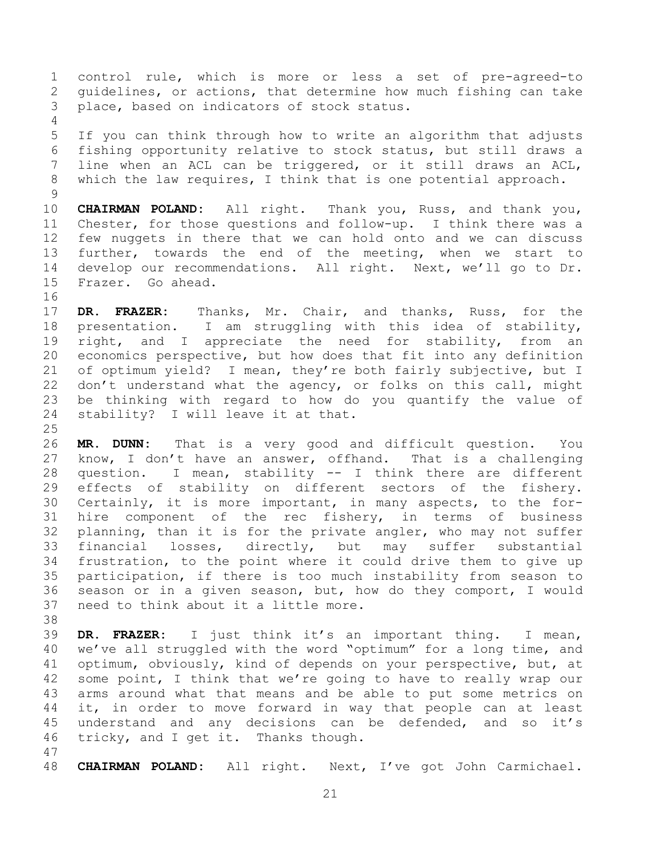control rule, which is more or less a set of pre-agreed-to guidelines, or actions, that determine how much fishing can take place, based on indicators of stock status.

 If you can think through how to write an algorithm that adjusts fishing opportunity relative to stock status, but still draws a line when an ACL can be triggered, or it still draws an ACL, which the law requires, I think that is one potential approach.

 **CHAIRMAN POLAND:** All right. Thank you, Russ, and thank you, Chester, for those questions and follow-up. I think there was a few nuggets in there that we can hold onto and we can discuss further, towards the end of the meeting, when we start to develop our recommendations. All right. Next, we'll go to Dr. Frazer. Go ahead.

 **DR. FRAZER:** Thanks, Mr. Chair, and thanks, Russ, for the presentation. I am struggling with this idea of stability, 19 right, and I appreciate the need for stability, from an economics perspective, but how does that fit into any definition of optimum yield? I mean, they're both fairly subjective, but I don't understand what the agency, or folks on this call, might be thinking with regard to how do you quantify the value of stability? I will leave it at that.

 **MR. DUNN:** That is a very good and difficult question. You know, I don't have an answer, offhand. That is a challenging question. I mean, stability -- I think there are different effects of stability on different sectors of the fishery. Certainly, it is more important, in many aspects, to the for- hire component of the rec fishery, in terms of business planning, than it is for the private angler, who may not suffer financial losses, directly, but may suffer substantial frustration, to the point where it could drive them to give up participation, if there is too much instability from season to season or in a given season, but, how do they comport, I would need to think about it a little more.

 **DR. FRAZER:** I just think it's an important thing. I mean, we've all struggled with the word "optimum" for a long time, and optimum, obviously, kind of depends on your perspective, but, at some point, I think that we're going to have to really wrap our arms around what that means and be able to put some metrics on it, in order to move forward in way that people can at least 45 understand and any decisions can be defended, and so it's tricky, and I get it. Thanks though.

**CHAIRMAN POLAND:** All right. Next, I've got John Carmichael.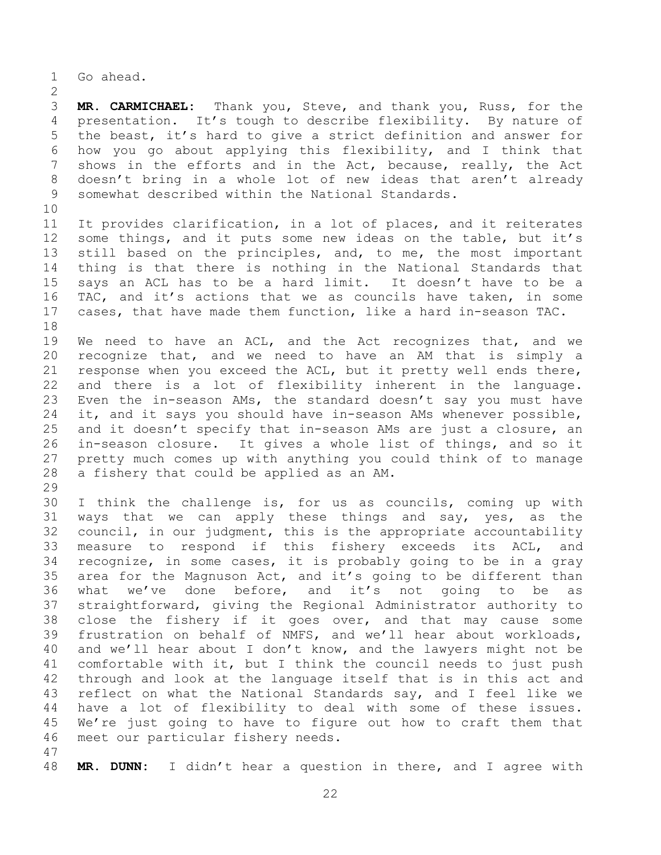Go ahead.

 **MR. CARMICHAEL:** Thank you, Steve, and thank you, Russ, for the presentation. It's tough to describe flexibility. By nature of the beast, it's hard to give a strict definition and answer for how you go about applying this flexibility, and I think that shows in the efforts and in the Act, because, really, the Act doesn't bring in a whole lot of new ideas that aren't already somewhat described within the National Standards.

 It provides clarification, in a lot of places, and it reiterates some things, and it puts some new ideas on the table, but it's still based on the principles, and, to me, the most important thing is that there is nothing in the National Standards that says an ACL has to be a hard limit. It doesn't have to be a TAC, and it's actions that we as councils have taken, in some cases, that have made them function, like a hard in-season TAC. 

 We need to have an ACL, and the Act recognizes that, and we recognize that, and we need to have an AM that is simply a response when you exceed the ACL, but it pretty well ends there, and there is a lot of flexibility inherent in the language. Even the in-season AMs, the standard doesn't say you must have it, and it says you should have in-season AMs whenever possible, and it doesn't specify that in-season AMs are just a closure, an in-season closure. It gives a whole list of things, and so it pretty much comes up with anything you could think of to manage a fishery that could be applied as an AM.

 I think the challenge is, for us as councils, coming up with ways that we can apply these things and say, yes, as the council, in our judgment, this is the appropriate accountability measure to respond if this fishery exceeds its ACL, and recognize, in some cases, it is probably going to be in a gray area for the Magnuson Act, and it's going to be different than what we've done before, and it's not going to be as straightforward, giving the Regional Administrator authority to close the fishery if it goes over, and that may cause some frustration on behalf of NMFS, and we'll hear about workloads, and we'll hear about I don't know, and the lawyers might not be comfortable with it, but I think the council needs to just push through and look at the language itself that is in this act and reflect on what the National Standards say, and I feel like we have a lot of flexibility to deal with some of these issues. We're just going to have to figure out how to craft them that meet our particular fishery needs.

**MR. DUNN:** I didn't hear a question in there, and I agree with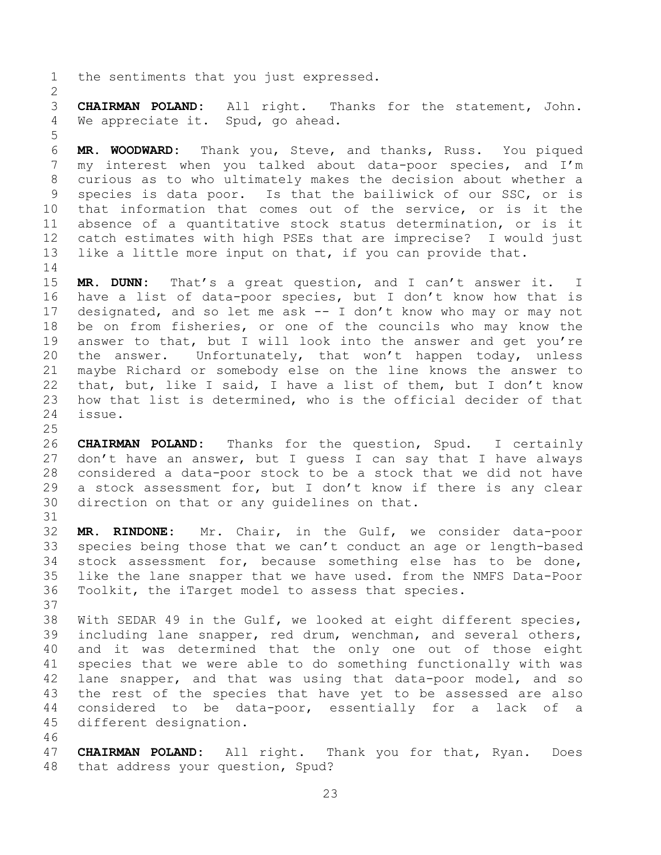the sentiments that you just expressed.

 **CHAIRMAN POLAND:** All right. Thanks for the statement, John. We appreciate it. Spud, go ahead.

 **MR. WOODWARD:** Thank you, Steve, and thanks, Russ. You piqued my interest when you talked about data-poor species, and I'm curious as to who ultimately makes the decision about whether a species is data poor. Is that the bailiwick of our SSC, or is that information that comes out of the service, or is it the absence of a quantitative stock status determination, or is it catch estimates with high PSEs that are imprecise? I would just like a little more input on that, if you can provide that. 

 **MR. DUNN:** That's a great question, and I can't answer it. I have a list of data-poor species, but I don't know how that is designated, and so let me ask -- I don't know who may or may not be on from fisheries, or one of the councils who may know the answer to that, but I will look into the answer and get you're 20 the answer. Unfortunately, that won't happen today, unless maybe Richard or somebody else on the line knows the answer to that, but, like I said, I have a list of them, but I don't know how that list is determined, who is the official decider of that issue.

 **CHAIRMAN POLAND:** Thanks for the question, Spud. I certainly don't have an answer, but I guess I can say that I have always considered a data-poor stock to be a stock that we did not have a stock assessment for, but I don't know if there is any clear direction on that or any guidelines on that.

 **MR. RINDONE:** Mr. Chair, in the Gulf, we consider data-poor species being those that we can't conduct an age or length-based stock assessment for, because something else has to be done, like the lane snapper that we have used. from the NMFS Data-Poor Toolkit, the iTarget model to assess that species.

 With SEDAR 49 in the Gulf, we looked at eight different species, including lane snapper, red drum, wenchman, and several others, and it was determined that the only one out of those eight species that we were able to do something functionally with was lane snapper, and that was using that data-poor model, and so the rest of the species that have yet to be assessed are also considered to be data-poor, essentially for a lack of a different designation.

 **CHAIRMAN POLAND:** All right. Thank you for that, Ryan. Does that address your question, Spud?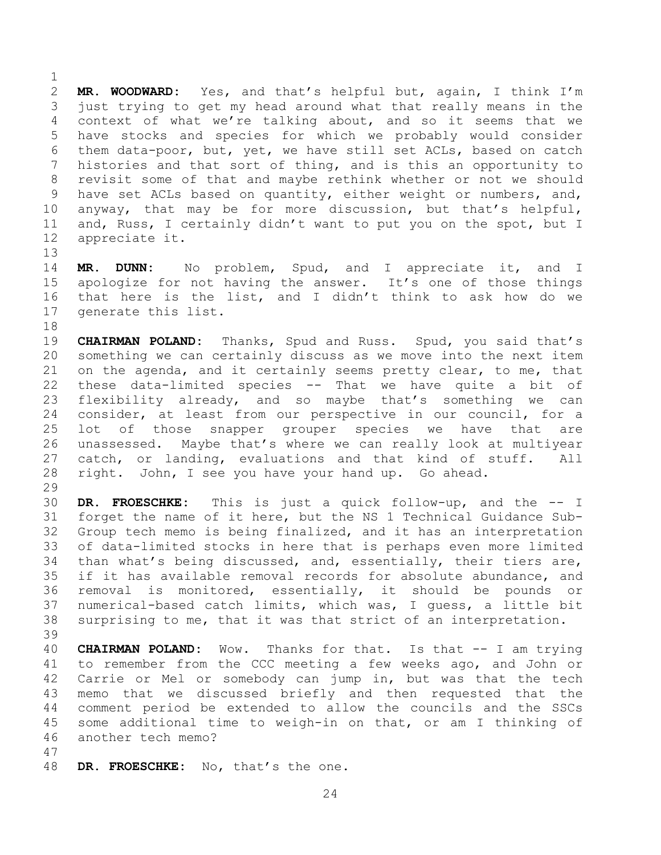**MR. WOODWARD:** Yes, and that's helpful but, again, I think I'm just trying to get my head around what that really means in the context of what we're talking about, and so it seems that we have stocks and species for which we probably would consider them data-poor, but, yet, we have still set ACLs, based on catch histories and that sort of thing, and is this an opportunity to revisit some of that and maybe rethink whether or not we should have set ACLs based on quantity, either weight or numbers, and, anyway, that may be for more discussion, but that's helpful, and, Russ, I certainly didn't want to put you on the spot, but I appreciate it.

 **MR. DUNN:** No problem, Spud, and I appreciate it, and I apologize for not having the answer. It's one of those things that here is the list, and I didn't think to ask how do we generate this list.

 **CHAIRMAN POLAND:** Thanks, Spud and Russ. Spud, you said that's something we can certainly discuss as we move into the next item on the agenda, and it certainly seems pretty clear, to me, that these data-limited species -- That we have quite a bit of flexibility already, and so maybe that's something we can consider, at least from our perspective in our council, for a lot of those snapper grouper species we have that are unassessed. Maybe that's where we can really look at multiyear catch, or landing, evaluations and that kind of stuff. All right. John, I see you have your hand up. Go ahead.

 **DR. FROESCHKE:** This is just a quick follow-up, and the -- I forget the name of it here, but the NS 1 Technical Guidance Sub- Group tech memo is being finalized, and it has an interpretation of data-limited stocks in here that is perhaps even more limited than what's being discussed, and, essentially, their tiers are, if it has available removal records for absolute abundance, and removal is monitored, essentially, it should be pounds or numerical-based catch limits, which was, I guess, a little bit surprising to me, that it was that strict of an interpretation. 

 **CHAIRMAN POLAND:** Wow. Thanks for that. Is that -- I am trying to remember from the CCC meeting a few weeks ago, and John or Carrie or Mel or somebody can jump in, but was that the tech memo that we discussed briefly and then requested that the comment period be extended to allow the councils and the SSCs some additional time to weigh-in on that, or am I thinking of another tech memo?

**DR. FROESCHKE:** No, that's the one.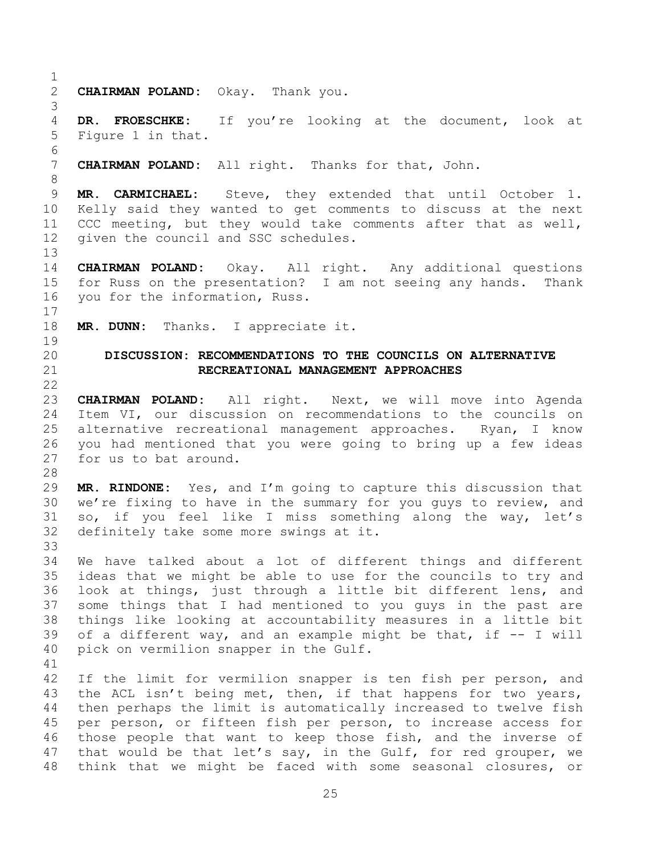<span id="page-24-0"></span> **CHAIRMAN POLAND:** Okay. Thank you. **DR. FROESCHKE:** If you're looking at the document, look at Figure 1 in that. **CHAIRMAN POLAND:** All right. Thanks for that, John. **MR. CARMICHAEL:** Steve, they extended that until October 1. Kelly said they wanted to get comments to discuss at the next CCC meeting, but they would take comments after that as well, given the council and SSC schedules. **CHAIRMAN POLAND:** Okay. All right. Any additional questions for Russ on the presentation? I am not seeing any hands. Thank you for the information, Russ. **MR. DUNN:** Thanks. I appreciate it. **DISCUSSION: RECOMMENDATIONS TO THE COUNCILS ON ALTERNATIVE RECREATIONAL MANAGEMENT APPROACHES CHAIRMAN POLAND:** All right. Next, we will move into Agenda Item VI, our discussion on recommendations to the councils on alternative recreational management approaches. Ryan, I know you had mentioned that you were going to bring up a few ideas for us to bat around. **MR. RINDONE:** Yes, and I'm going to capture this discussion that we're fixing to have in the summary for you guys to review, and so, if you feel like I miss something along the way, let's definitely take some more swings at it. We have talked about a lot of different things and different ideas that we might be able to use for the councils to try and look at things, just through a little bit different lens, and some things that I had mentioned to you guys in the past are things like looking at accountability measures in a little bit of a different way, and an example might be that, if -- I will pick on vermilion snapper in the Gulf. If the limit for vermilion snapper is ten fish per person, and the ACL isn't being met, then, if that happens for two years, then perhaps the limit is automatically increased to twelve fish per person, or fifteen fish per person, to increase access for those people that want to keep those fish, and the inverse of that would be that let's say, in the Gulf, for red grouper, we think that we might be faced with some seasonal closures, or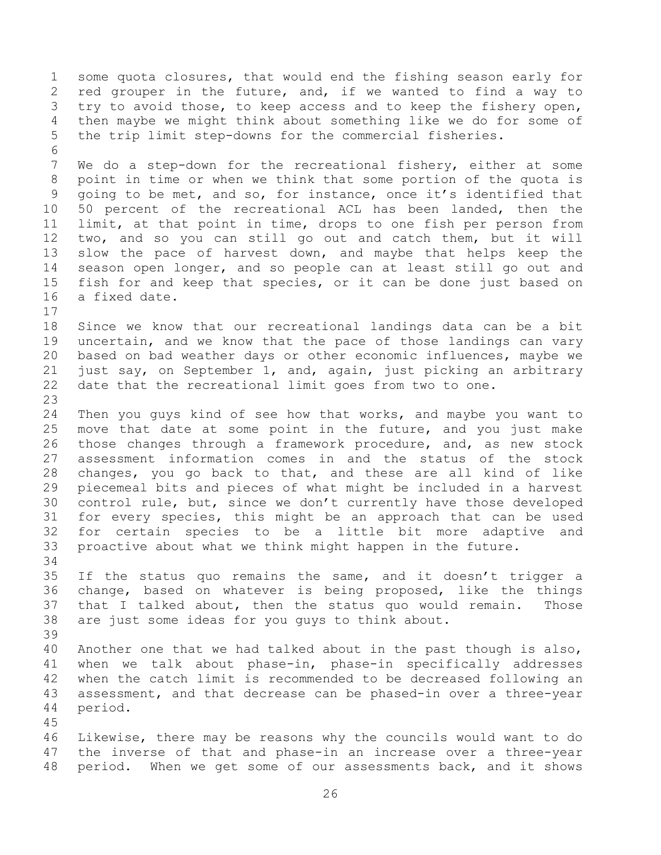some quota closures, that would end the fishing season early for red grouper in the future, and, if we wanted to find a way to try to avoid those, to keep access and to keep the fishery open, then maybe we might think about something like we do for some of the trip limit step-downs for the commercial fisheries. We do a step-down for the recreational fishery, either at some point in time or when we think that some portion of the quota is going to be met, and so, for instance, once it's identified that 50 percent of the recreational ACL has been landed, then the limit, at that point in time, drops to one fish per person from two, and so you can still go out and catch them, but it will slow the pace of harvest down, and maybe that helps keep the season open longer, and so people can at least still go out and fish for and keep that species, or it can be done just based on a fixed date. Since we know that our recreational landings data can be a bit uncertain, and we know that the pace of those landings can vary based on bad weather days or other economic influences, maybe we just say, on September 1, and, again, just picking an arbitrary date that the recreational limit goes from two to one. Then you guys kind of see how that works, and maybe you want to move that date at some point in the future, and you just make those changes through a framework procedure, and, as new stock assessment information comes in and the status of the stock changes, you go back to that, and these are all kind of like piecemeal bits and pieces of what might be included in a harvest control rule, but, since we don't currently have those developed for every species, this might be an approach that can be used for certain species to be a little bit more adaptive and proactive about what we think might happen in the future. If the status quo remains the same, and it doesn't trigger a change, based on whatever is being proposed, like the things that I talked about, then the status quo would remain. Those are just some ideas for you guys to think about. Another one that we had talked about in the past though is also, when we talk about phase-in, phase-in specifically addresses when the catch limit is recommended to be decreased following an assessment, and that decrease can be phased-in over a three-year period. Likewise, there may be reasons why the councils would want to do the inverse of that and phase-in an increase over a three-year period. When we get some of our assessments back, and it shows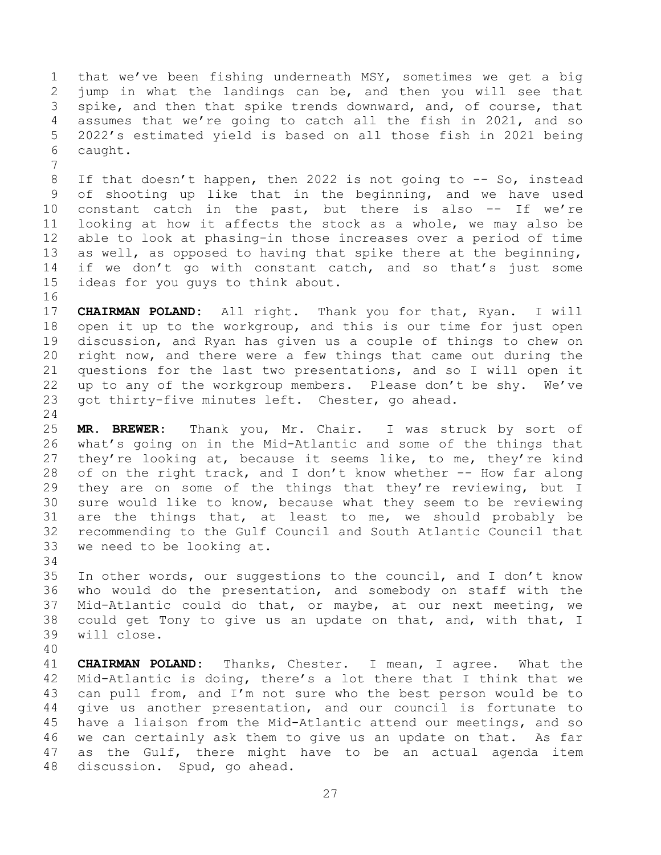that we've been fishing underneath MSY, sometimes we get a big jump in what the landings can be, and then you will see that spike, and then that spike trends downward, and, of course, that assumes that we're going to catch all the fish in 2021, and so 2022's estimated yield is based on all those fish in 2021 being caught.

8 If that doesn't happen, then 2022 is not going to -- So, instead of shooting up like that in the beginning, and we have used constant catch in the past, but there is also -- If we're looking at how it affects the stock as a whole, we may also be able to look at phasing-in those increases over a period of time as well, as opposed to having that spike there at the beginning, 14 if we don't go with constant catch, and so that's just some ideas for you guys to think about.

 **CHAIRMAN POLAND:** All right. Thank you for that, Ryan. I will open it up to the workgroup, and this is our time for just open discussion, and Ryan has given us a couple of things to chew on right now, and there were a few things that came out during the questions for the last two presentations, and so I will open it up to any of the workgroup members. Please don't be shy. We've got thirty-five minutes left. Chester, go ahead.

 **MR. BREWER:** Thank you, Mr. Chair. I was struck by sort of what's going on in the Mid-Atlantic and some of the things that 27 they're looking at, because it seems like, to me, they're kind 28 of on the right track, and I don't know whether -- How far along they are on some of the things that they're reviewing, but I sure would like to know, because what they seem to be reviewing are the things that, at least to me, we should probably be recommending to the Gulf Council and South Atlantic Council that we need to be looking at.

 In other words, our suggestions to the council, and I don't know who would do the presentation, and somebody on staff with the Mid-Atlantic could do that, or maybe, at our next meeting, we could get Tony to give us an update on that, and, with that, I will close.

 **CHAIRMAN POLAND:** Thanks, Chester. I mean, I agree. What the Mid-Atlantic is doing, there's a lot there that I think that we can pull from, and I'm not sure who the best person would be to give us another presentation, and our council is fortunate to have a liaison from the Mid-Atlantic attend our meetings, and so we can certainly ask them to give us an update on that. As far as the Gulf, there might have to be an actual agenda item discussion. Spud, go ahead.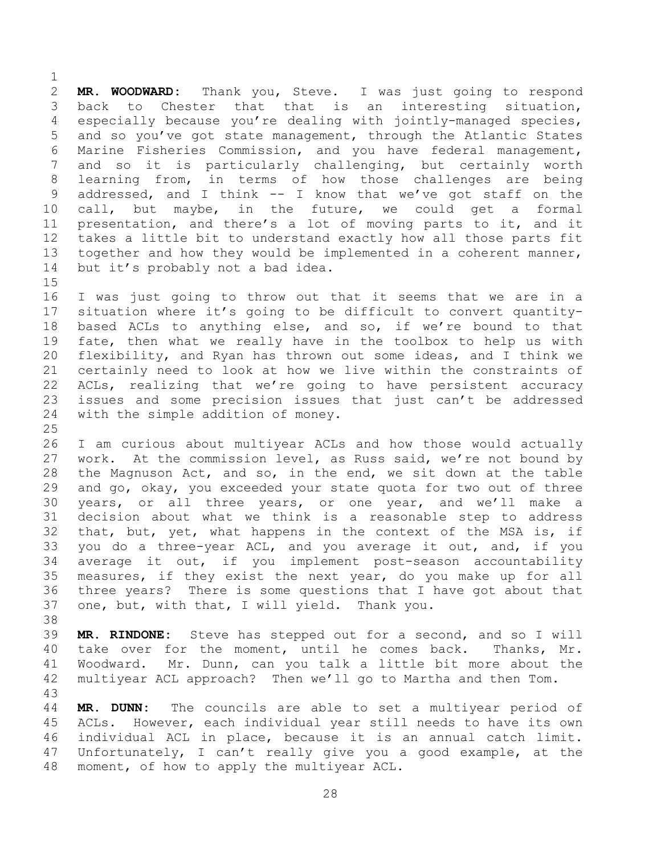**MR. WOODWARD:** Thank you, Steve. I was just going to respond back to Chester that that is an interesting situation, especially because you're dealing with jointly-managed species, and so you've got state management, through the Atlantic States Marine Fisheries Commission, and you have federal management, and so it is particularly challenging, but certainly worth learning from, in terms of how those challenges are being addressed, and I think -- I know that we've got staff on the call, but maybe, in the future, we could get a formal presentation, and there's a lot of moving parts to it, and it takes a little bit to understand exactly how all those parts fit 13 together and how they would be implemented in a coherent manner, but it's probably not a bad idea.

 I was just going to throw out that it seems that we are in a situation where it's going to be difficult to convert quantity- based ACLs to anything else, and so, if we're bound to that fate, then what we really have in the toolbox to help us with flexibility, and Ryan has thrown out some ideas, and I think we certainly need to look at how we live within the constraints of ACLs, realizing that we're going to have persistent accuracy issues and some precision issues that just can't be addressed with the simple addition of money.

 I am curious about multiyear ACLs and how those would actually work. At the commission level, as Russ said, we're not bound by the Magnuson Act, and so, in the end, we sit down at the table and go, okay, you exceeded your state quota for two out of three years, or all three years, or one year, and we'll make a decision about what we think is a reasonable step to address that, but, yet, what happens in the context of the MSA is, if you do a three-year ACL, and you average it out, and, if you average it out, if you implement post-season accountability measures, if they exist the next year, do you make up for all three years? There is some questions that I have got about that one, but, with that, I will yield. Thank you.

 **MR. RINDONE:** Steve has stepped out for a second, and so I will take over for the moment, until he comes back. Thanks, Mr. Woodward. Mr. Dunn, can you talk a little bit more about the multiyear ACL approach? Then we'll go to Martha and then Tom.

 **MR. DUNN:** The councils are able to set a multiyear period of ACLs. However, each individual year still needs to have its own individual ACL in place, because it is an annual catch limit. Unfortunately, I can't really give you a good example, at the moment, of how to apply the multiyear ACL.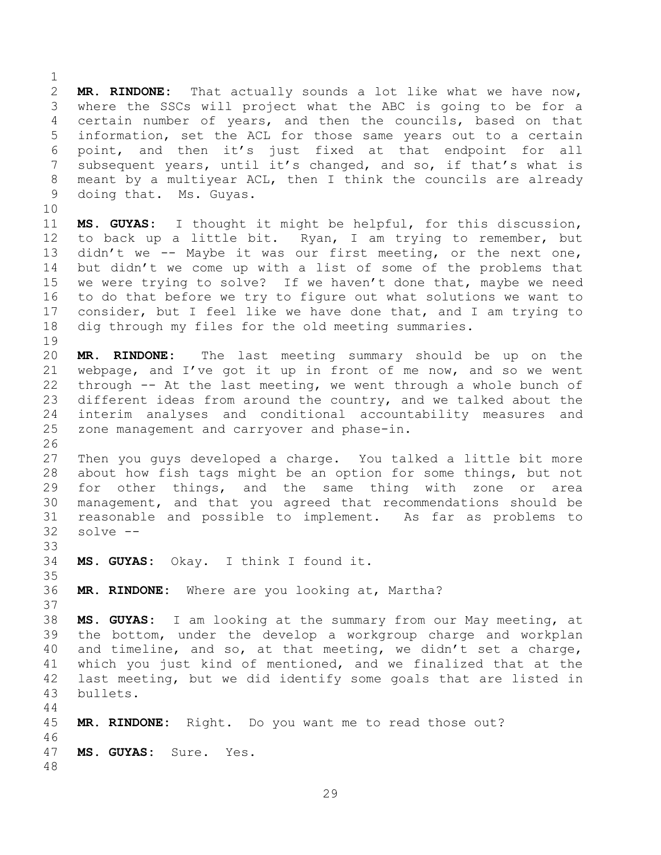**MR. RINDONE:** That actually sounds a lot like what we have now, where the SSCs will project what the ABC is going to be for a certain number of years, and then the councils, based on that information, set the ACL for those same years out to a certain point, and then it's just fixed at that endpoint for all subsequent years, until it's changed, and so, if that's what is meant by a multiyear ACL, then I think the councils are already doing that. Ms. Guyas. 

 **MS. GUYAS:** I thought it might be helpful, for this discussion, to back up a little bit. Ryan, I am trying to remember, but didn't we -- Maybe it was our first meeting, or the next one, but didn't we come up with a list of some of the problems that we were trying to solve? If we haven't done that, maybe we need to do that before we try to figure out what solutions we want to consider, but I feel like we have done that, and I am trying to dig through my files for the old meeting summaries. 

 **MR. RINDONE:** The last meeting summary should be up on the webpage, and I've got it up in front of me now, and so we went through -- At the last meeting, we went through a whole bunch of different ideas from around the country, and we talked about the interim analyses and conditional accountability measures and zone management and carryover and phase-in.

 Then you guys developed a charge. You talked a little bit more about how fish tags might be an option for some things, but not for other things, and the same thing with zone or area management, and that you agreed that recommendations should be reasonable and possible to implement. As far as problems to solve --

**MS. GUYAS:** Okay. I think I found it.

**MR. RINDONE:** Where are you looking at, Martha?

 **MS. GUYAS:** I am looking at the summary from our May meeting, at the bottom, under the develop a workgroup charge and workplan and timeline, and so, at that meeting, we didn't set a charge, which you just kind of mentioned, and we finalized that at the last meeting, but we did identify some goals that are listed in bullets. 

 **MR. RINDONE:** Right. Do you want me to read those out? **MS. GUYAS:** Sure. Yes.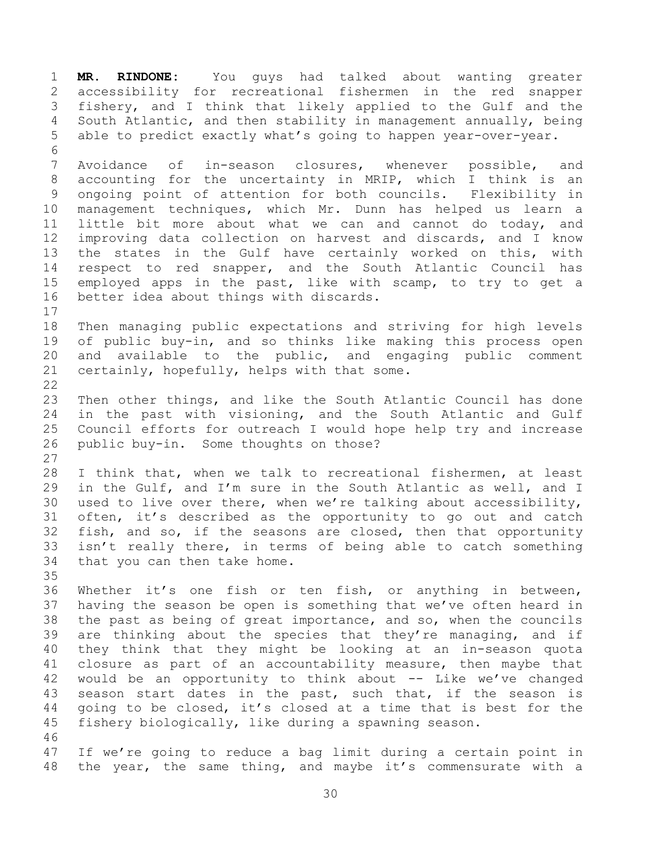**MR. RINDONE:** You guys had talked about wanting greater accessibility for recreational fishermen in the red snapper fishery, and I think that likely applied to the Gulf and the South Atlantic, and then stability in management annually, being able to predict exactly what's going to happen year-over-year. Avoidance of in-season closures, whenever possible, and accounting for the uncertainty in MRIP, which I think is an ongoing point of attention for both councils. Flexibility in management techniques, which Mr. Dunn has helped us learn a little bit more about what we can and cannot do today, and improving data collection on harvest and discards, and I know the states in the Gulf have certainly worked on this, with respect to red snapper, and the South Atlantic Council has employed apps in the past, like with scamp, to try to get a better idea about things with discards. Then managing public expectations and striving for high levels of public buy-in, and so thinks like making this process open and available to the public, and engaging public comment certainly, hopefully, helps with that some. Then other things, and like the South Atlantic Council has done in the past with visioning, and the South Atlantic and Gulf Council efforts for outreach I would hope help try and increase public buy-in. Some thoughts on those? I think that, when we talk to recreational fishermen, at least in the Gulf, and I'm sure in the South Atlantic as well, and I used to live over there, when we're talking about accessibility, often, it's described as the opportunity to go out and catch fish, and so, if the seasons are closed, then that opportunity isn't really there, in terms of being able to catch something that you can then take home. Whether it's one fish or ten fish, or anything in between, having the season be open is something that we've often heard in the past as being of great importance, and so, when the councils are thinking about the species that they're managing, and if they think that they might be looking at an in-season quota closure as part of an accountability measure, then maybe that would be an opportunity to think about -- Like we've changed season start dates in the past, such that, if the season is going to be closed, it's closed at a time that is best for the fishery biologically, like during a spawning season. If we're going to reduce a bag limit during a certain point in the year, the same thing, and maybe it's commensurate with a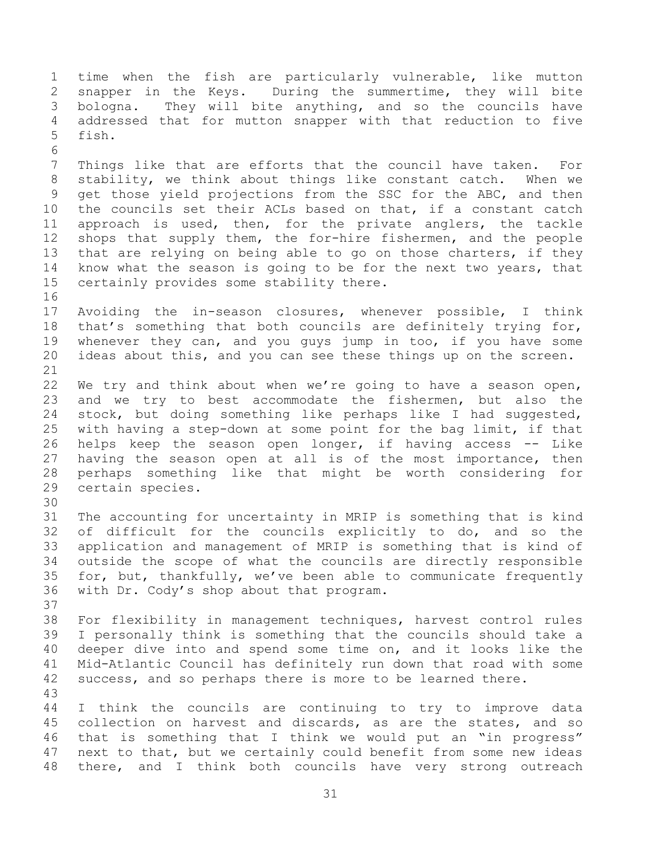time when the fish are particularly vulnerable, like mutton snapper in the Keys. During the summertime, they will bite bologna. They will bite anything, and so the councils have addressed that for mutton snapper with that reduction to five fish. Things like that are efforts that the council have taken. For stability, we think about things like constant catch. When we get those yield projections from the SSC for the ABC, and then the councils set their ACLs based on that, if a constant catch approach is used, then, for the private anglers, the tackle shops that supply them, the for-hire fishermen, and the people that are relying on being able to go on those charters, if they know what the season is going to be for the next two years, that certainly provides some stability there. Avoiding the in-season closures, whenever possible, I think that's something that both councils are definitely trying for, whenever they can, and you guys jump in too, if you have some ideas about this, and you can see these things up on the screen. We try and think about when we're going to have a season open, and we try to best accommodate the fishermen, but also the stock, but doing something like perhaps like I had suggested, with having a step-down at some point for the bag limit, if that helps keep the season open longer, if having access -- Like having the season open at all is of the most importance, then perhaps something like that might be worth considering for certain species. The accounting for uncertainty in MRIP is something that is kind of difficult for the councils explicitly to do, and so the application and management of MRIP is something that is kind of outside the scope of what the councils are directly responsible for, but, thankfully, we've been able to communicate frequently with Dr. Cody's shop about that program. For flexibility in management techniques, harvest control rules I personally think is something that the councils should take a deeper dive into and spend some time on, and it looks like the Mid-Atlantic Council has definitely run down that road with some success, and so perhaps there is more to be learned there. I think the councils are continuing to try to improve data collection on harvest and discards, as are the states, and so that is something that I think we would put an "in progress" next to that, but we certainly could benefit from some new ideas there, and I think both councils have very strong outreach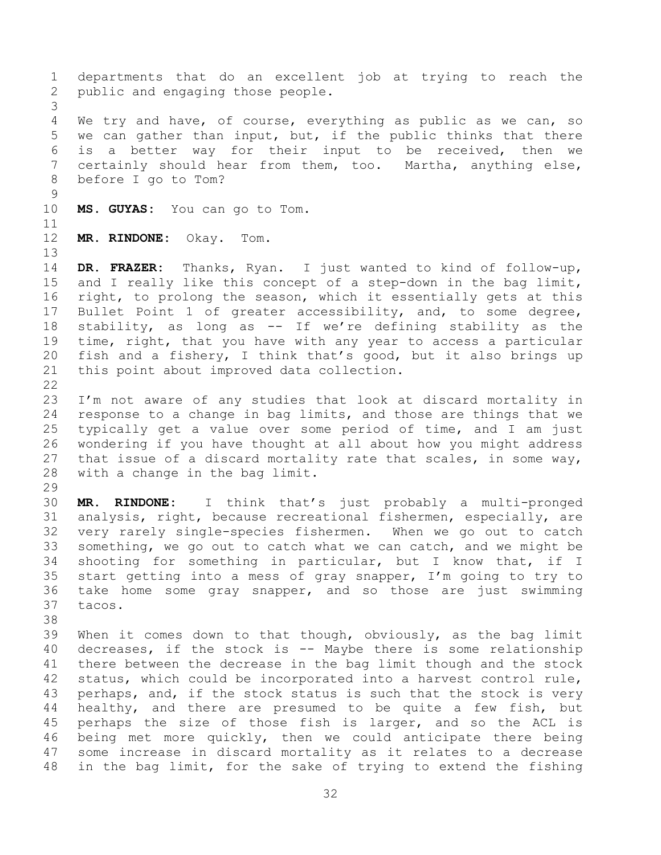departments that do an excellent job at trying to reach the public and engaging those people. We try and have, of course, everything as public as we can, so we can gather than input, but, if the public thinks that there is a better way for their input to be received, then we certainly should hear from them, too. Martha, anything else, before I go to Tom? **MS. GUYAS:** You can go to Tom. **MR. RINDONE:** Okay. Tom. **DR. FRAZER:** Thanks, Ryan. I just wanted to kind of follow-up, and I really like this concept of a step-down in the bag limit, right, to prolong the season, which it essentially gets at this Bullet Point 1 of greater accessibility, and, to some degree, stability, as long as -- If we're defining stability as the time, right, that you have with any year to access a particular fish and a fishery, I think that's good, but it also brings up this point about improved data collection. I'm not aware of any studies that look at discard mortality in response to a change in bag limits, and those are things that we typically get a value over some period of time, and I am just wondering if you have thought at all about how you might address that issue of a discard mortality rate that scales, in some way, with a change in the bag limit. **MR. RINDONE:** I think that's just probably a multi-pronged analysis, right, because recreational fishermen, especially, are very rarely single-species fishermen. When we go out to catch something, we go out to catch what we can catch, and we might be shooting for something in particular, but I know that, if I start getting into a mess of gray snapper, I'm going to try to take home some gray snapper, and so those are just swimming tacos. When it comes down to that though, obviously, as the bag limit decreases, if the stock is -- Maybe there is some relationship there between the decrease in the bag limit though and the stock status, which could be incorporated into a harvest control rule, 43 perhaps, and, if the stock status is such that the stock is very healthy, and there are presumed to be quite a few fish, but perhaps the size of those fish is larger, and so the ACL is being met more quickly, then we could anticipate there being

 some increase in discard mortality as it relates to a decrease in the bag limit, for the sake of trying to extend the fishing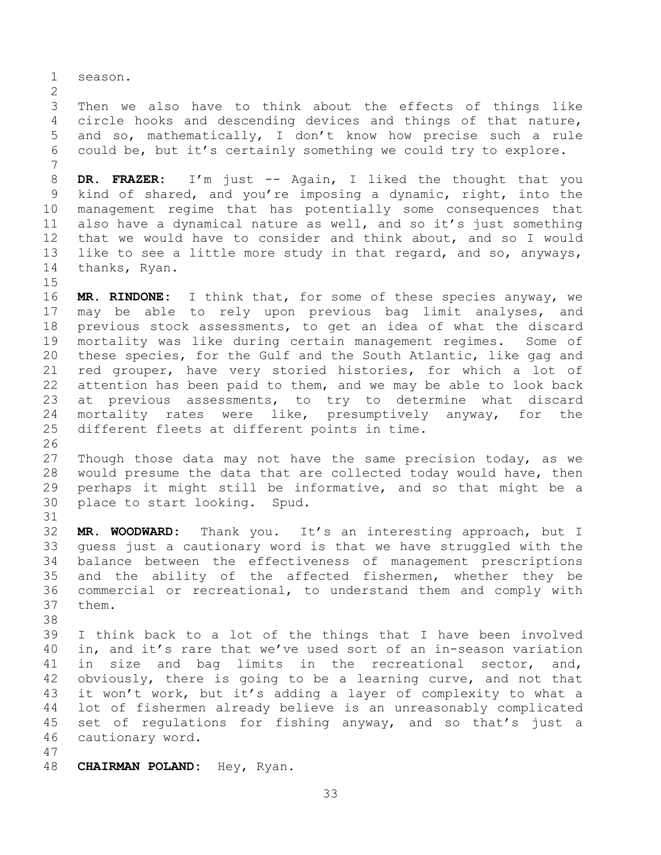season.

 Then we also have to think about the effects of things like circle hooks and descending devices and things of that nature, and so, mathematically, I don't know how precise such a rule could be, but it's certainly something we could try to explore.

 **DR. FRAZER:** I'm just -- Again, I liked the thought that you kind of shared, and you're imposing a dynamic, right, into the management regime that has potentially some consequences that also have a dynamical nature as well, and so it's just something that we would have to consider and think about, and so I would like to see a little more study in that regard, and so, anyways, thanks, Ryan.

 **MR. RINDONE:** I think that, for some of these species anyway, we may be able to rely upon previous bag limit analyses, and previous stock assessments, to get an idea of what the discard mortality was like during certain management regimes. Some of these species, for the Gulf and the South Atlantic, like gag and red grouper, have very storied histories, for which a lot of attention has been paid to them, and we may be able to look back at previous assessments, to try to determine what discard mortality rates were like, presumptively anyway, for the different fleets at different points in time.

 Though those data may not have the same precision today, as we would presume the data that are collected today would have, then perhaps it might still be informative, and so that might be a place to start looking. Spud.

 **MR. WOODWARD:** Thank you. It's an interesting approach, but I guess just a cautionary word is that we have struggled with the balance between the effectiveness of management prescriptions and the ability of the affected fishermen, whether they be commercial or recreational, to understand them and comply with them.

 I think back to a lot of the things that I have been involved in, and it's rare that we've used sort of an in-season variation in size and bag limits in the recreational sector, and, obviously, there is going to be a learning curve, and not that it won't work, but it's adding a layer of complexity to what a lot of fishermen already believe is an unreasonably complicated set of regulations for fishing anyway, and so that's just a cautionary word.

- 
- **CHAIRMAN POLAND:** Hey, Ryan.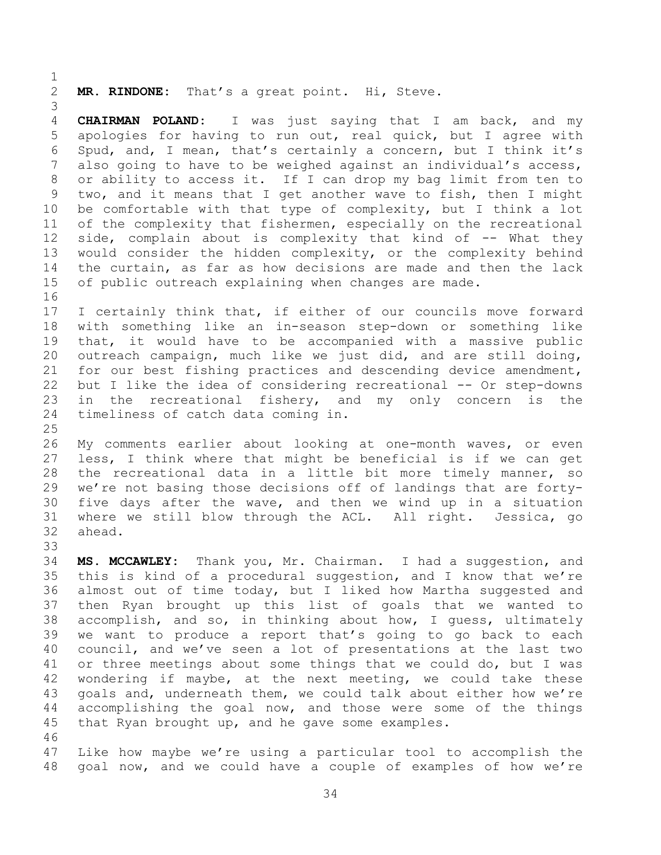**MR. RINDONE:** That's a great point. Hi, Steve.

 **CHAIRMAN POLAND:** I was just saying that I am back, and my apologies for having to run out, real quick, but I agree with Spud, and, I mean, that's certainly a concern, but I think it's also going to have to be weighed against an individual's access, or ability to access it. If I can drop my bag limit from ten to two, and it means that I get another wave to fish, then I might be comfortable with that type of complexity, but I think a lot of the complexity that fishermen, especially on the recreational 12 side, complain about is complexity that kind of -- What they would consider the hidden complexity, or the complexity behind the curtain, as far as how decisions are made and then the lack of public outreach explaining when changes are made. 

 I certainly think that, if either of our councils move forward with something like an in-season step-down or something like that, it would have to be accompanied with a massive public outreach campaign, much like we just did, and are still doing, for our best fishing practices and descending device amendment, but I like the idea of considering recreational -- Or step-downs in the recreational fishery, and my only concern is the timeliness of catch data coming in.

 My comments earlier about looking at one-month waves, or even less, I think where that might be beneficial is if we can get the recreational data in a little bit more timely manner, so we're not basing those decisions off of landings that are forty- five days after the wave, and then we wind up in a situation where we still blow through the ACL. All right. Jessica, go ahead. 

 **MS. MCCAWLEY:** Thank you, Mr. Chairman. I had a suggestion, and this is kind of a procedural suggestion, and I know that we're almost out of time today, but I liked how Martha suggested and then Ryan brought up this list of goals that we wanted to accomplish, and so, in thinking about how, I guess, ultimately we want to produce a report that's going to go back to each council, and we've seen a lot of presentations at the last two or three meetings about some things that we could do, but I was wondering if maybe, at the next meeting, we could take these goals and, underneath them, we could talk about either how we're accomplishing the goal now, and those were some of the things that Ryan brought up, and he gave some examples. 

 Like how maybe we're using a particular tool to accomplish the goal now, and we could have a couple of examples of how we're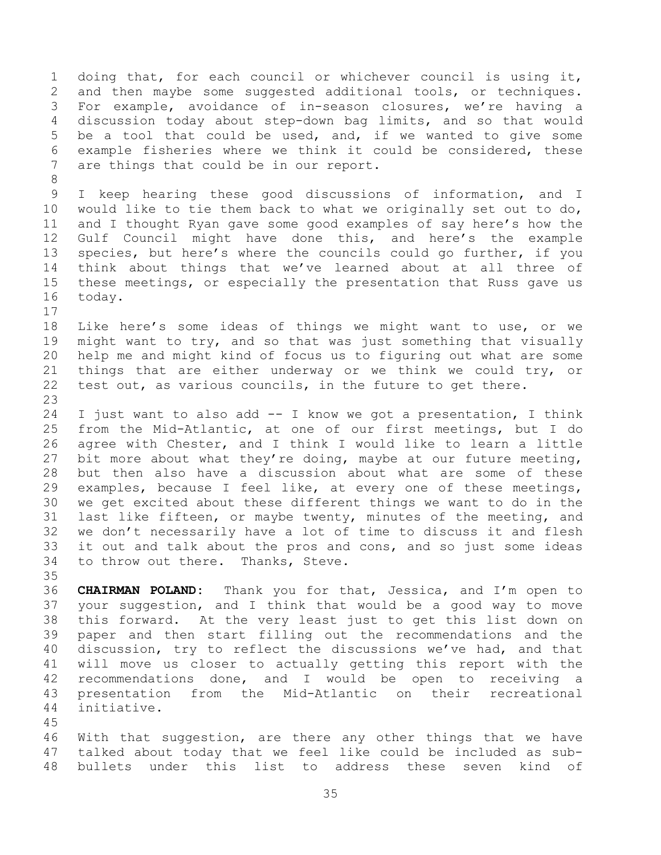doing that, for each council or whichever council is using it, and then maybe some suggested additional tools, or techniques. For example, avoidance of in-season closures, we're having a discussion today about step-down bag limits, and so that would be a tool that could be used, and, if we wanted to give some example fisheries where we think it could be considered, these are things that could be in our report. I keep hearing these good discussions of information, and I would like to tie them back to what we originally set out to do, and I thought Ryan gave some good examples of say here's how the Gulf Council might have done this, and here's the example species, but here's where the councils could go further, if you think about things that we've learned about at all three of these meetings, or especially the presentation that Russ gave us today. Like here's some ideas of things we might want to use, or we might want to try, and so that was just something that visually help me and might kind of focus us to figuring out what are some things that are either underway or we think we could try, or test out, as various councils, in the future to get there. I just want to also add -- I know we got a presentation, I think from the Mid-Atlantic, at one of our first meetings, but I do agree with Chester, and I think I would like to learn a little bit more about what they're doing, maybe at our future meeting, but then also have a discussion about what are some of these examples, because I feel like, at every one of these meetings, we get excited about these different things we want to do in the last like fifteen, or maybe twenty, minutes of the meeting, and we don't necessarily have a lot of time to discuss it and flesh it out and talk about the pros and cons, and so just some ideas to throw out there. Thanks, Steve. **CHAIRMAN POLAND:** Thank you for that, Jessica, and I'm open to your suggestion, and I think that would be a good way to move this forward. At the very least just to get this list down on paper and then start filling out the recommendations and the discussion, try to reflect the discussions we've had, and that will move us closer to actually getting this report with the recommendations done, and I would be open to receiving a presentation from the Mid-Atlantic on their recreational initiative. With that suggestion, are there any other things that we have talked about today that we feel like could be included as sub-

bullets under this list to address these seven kind of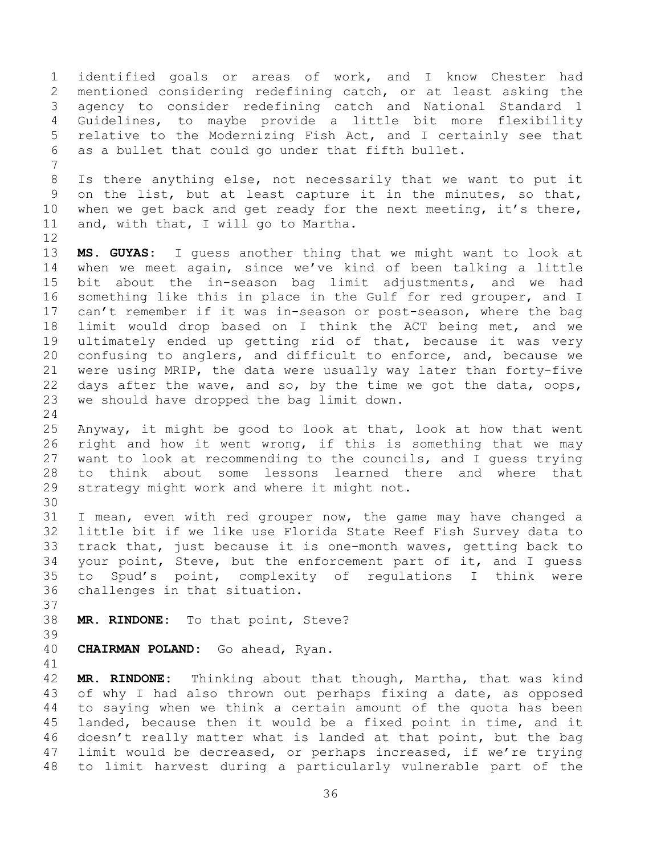identified goals or areas of work, and I know Chester had mentioned considering redefining catch, or at least asking the agency to consider redefining catch and National Standard 1 Guidelines, to maybe provide a little bit more flexibility relative to the Modernizing Fish Act, and I certainly see that as a bullet that could go under that fifth bullet. Is there anything else, not necessarily that we want to put it on the list, but at least capture it in the minutes, so that, 10 when we get back and get ready for the next meeting, it's there, and, with that, I will go to Martha. **MS. GUYAS:** I guess another thing that we might want to look at when we meet again, since we've kind of been talking a little bit about the in-season bag limit adjustments, and we had something like this in place in the Gulf for red grouper, and I can't remember if it was in-season or post-season, where the bag limit would drop based on I think the ACT being met, and we ultimately ended up getting rid of that, because it was very confusing to anglers, and difficult to enforce, and, because we were using MRIP, the data were usually way later than forty-five days after the wave, and so, by the time we got the data, oops, we should have dropped the bag limit down. Anyway, it might be good to look at that, look at how that went right and how it went wrong, if this is something that we may want to look at recommending to the councils, and I guess trying to think about some lessons learned there and where that strategy might work and where it might not. I mean, even with red grouper now, the game may have changed a little bit if we like use Florida State Reef Fish Survey data to track that, just because it is one-month waves, getting back to your point, Steve, but the enforcement part of it, and I guess to Spud's point, complexity of regulations I think were challenges in that situation. **MR. RINDONE:** To that point, Steve? **CHAIRMAN POLAND:** Go ahead, Ryan. **MR. RINDONE:** Thinking about that though, Martha, that was kind 43 of why I had also thrown out perhaps fixing a date, as opposed to saying when we think a certain amount of the quota has been landed, because then it would be a fixed point in time, and it doesn't really matter what is landed at that point, but the bag limit would be decreased, or perhaps increased, if we're trying to limit harvest during a particularly vulnerable part of the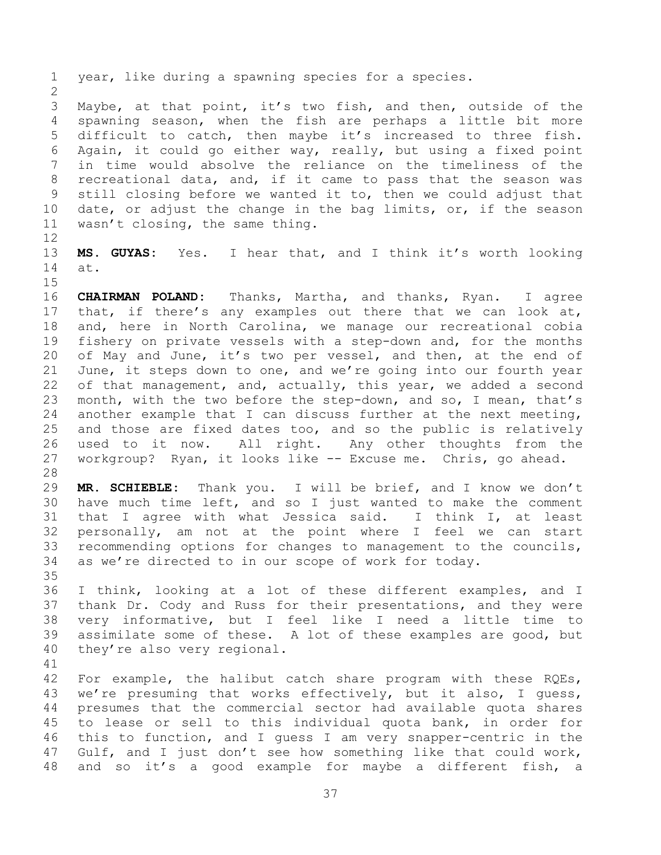year, like during a spawning species for a species.

 Maybe, at that point, it's two fish, and then, outside of the spawning season, when the fish are perhaps a little bit more difficult to catch, then maybe it's increased to three fish. Again, it could go either way, really, but using a fixed point in time would absolve the reliance on the timeliness of the recreational data, and, if it came to pass that the season was still closing before we wanted it to, then we could adjust that date, or adjust the change in the bag limits, or, if the season wasn't closing, the same thing.

 **MS. GUYAS:** Yes. I hear that, and I think it's worth looking at.

 **CHAIRMAN POLAND:** Thanks, Martha, and thanks, Ryan. I agree that, if there's any examples out there that we can look at, and, here in North Carolina, we manage our recreational cobia fishery on private vessels with a step-down and, for the months of May and June, it's two per vessel, and then, at the end of June, it steps down to one, and we're going into our fourth year 22 of that management, and, actually, this year, we added a second month, with the two before the step-down, and so, I mean, that's another example that I can discuss further at the next meeting, and those are fixed dates too, and so the public is relatively used to it now. All right. Any other thoughts from the workgroup? Ryan, it looks like -- Excuse me. Chris, go ahead.

 **MR. SCHIEBLE:** Thank you. I will be brief, and I know we don't have much time left, and so I just wanted to make the comment that I agree with what Jessica said. I think I, at least personally, am not at the point where I feel we can start recommending options for changes to management to the councils, as we're directed to in our scope of work for today.

 I think, looking at a lot of these different examples, and I thank Dr. Cody and Russ for their presentations, and they were very informative, but I feel like I need a little time to assimilate some of these. A lot of these examples are good, but they're also very regional.

 For example, the halibut catch share program with these RQEs, we're presuming that works effectively, but it also, I guess, presumes that the commercial sector had available quota shares to lease or sell to this individual quota bank, in order for this to function, and I guess I am very snapper-centric in the Gulf, and I just don't see how something like that could work, and so it's a good example for maybe a different fish, a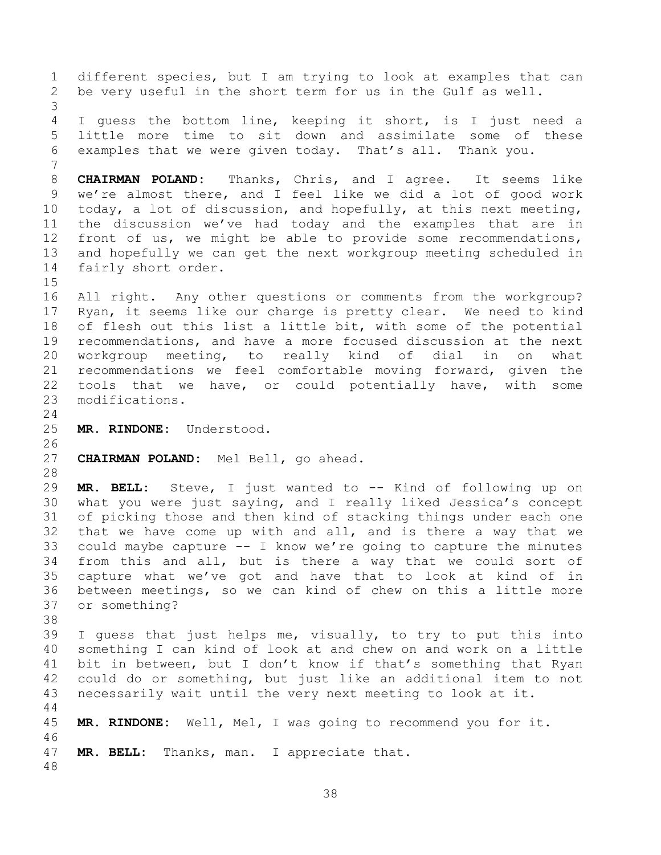different species, but I am trying to look at examples that can be very useful in the short term for us in the Gulf as well. I guess the bottom line, keeping it short, is I just need a little more time to sit down and assimilate some of these examples that we were given today. That's all. Thank you. **CHAIRMAN POLAND:** Thanks, Chris, and I agree. It seems like we're almost there, and I feel like we did a lot of good work today, a lot of discussion, and hopefully, at this next meeting, the discussion we've had today and the examples that are in front of us, we might be able to provide some recommendations, and hopefully we can get the next workgroup meeting scheduled in fairly short order. All right. Any other questions or comments from the workgroup? Ryan, it seems like our charge is pretty clear. We need to kind of flesh out this list a little bit, with some of the potential recommendations, and have a more focused discussion at the next workgroup meeting, to really kind of dial in on what recommendations we feel comfortable moving forward, given the tools that we have, or could potentially have, with some modifications. **MR. RINDONE:** Understood. **CHAIRMAN POLAND:** Mel Bell, go ahead. **MR. BELL:** Steve, I just wanted to -- Kind of following up on what you were just saying, and I really liked Jessica's concept of picking those and then kind of stacking things under each one that we have come up with and all, and is there a way that we could maybe capture -- I know we're going to capture the minutes from this and all, but is there a way that we could sort of capture what we've got and have that to look at kind of in between meetings, so we can kind of chew on this a little more or something? I guess that just helps me, visually, to try to put this into something I can kind of look at and chew on and work on a little bit in between, but I don't know if that's something that Ryan could do or something, but just like an additional item to not necessarily wait until the very next meeting to look at it. **MR. RINDONE:** Well, Mel, I was going to recommend you for it. **MR. BELL:** Thanks, man. I appreciate that.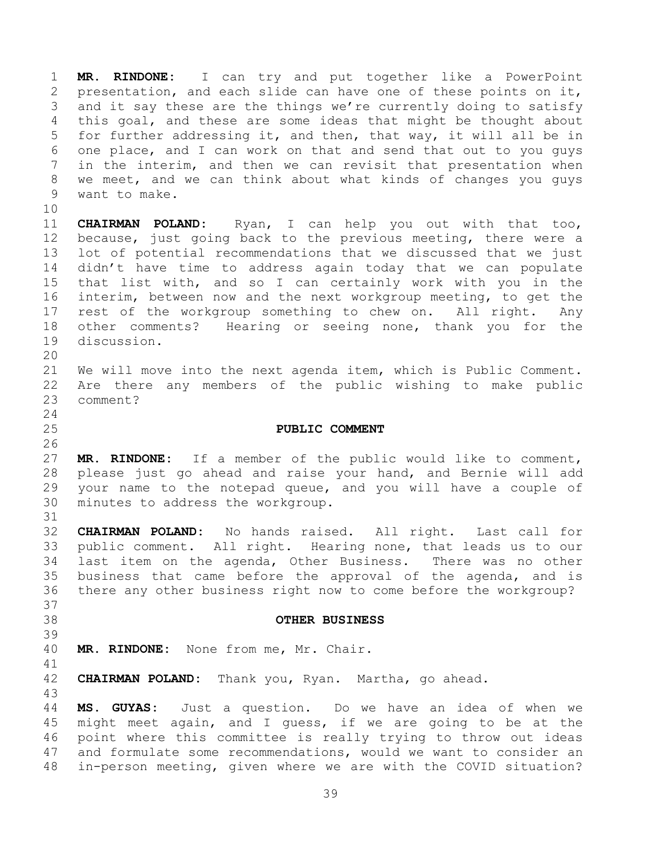**MR. RINDONE:** I can try and put together like a PowerPoint presentation, and each slide can have one of these points on it, and it say these are the things we're currently doing to satisfy this goal, and these are some ideas that might be thought about for further addressing it, and then, that way, it will all be in one place, and I can work on that and send that out to you guys in the interim, and then we can revisit that presentation when we meet, and we can think about what kinds of changes you guys want to make.

 **CHAIRMAN POLAND:** Ryan, I can help you out with that too, because, just going back to the previous meeting, there were a lot of potential recommendations that we discussed that we just didn't have time to address again today that we can populate that list with, and so I can certainly work with you in the interim, between now and the next workgroup meeting, to get the rest of the workgroup something to chew on. All right. Any other comments? Hearing or seeing none, thank you for the discussion.

 We will move into the next agenda item, which is Public Comment. Are there any members of the public wishing to make public comment?

## <span id="page-38-0"></span>**PUBLIC COMMENT**

 **MR. RINDONE:** If a member of the public would like to comment, please just go ahead and raise your hand, and Bernie will add your name to the notepad queue, and you will have a couple of minutes to address the workgroup.

 **CHAIRMAN POLAND:** No hands raised. All right. Last call for public comment. All right. Hearing none, that leads us to our last item on the agenda, Other Business. There was no other business that came before the approval of the agenda, and is there any other business right now to come before the workgroup?

## <span id="page-38-1"></span>**OTHER BUSINESS**

 

**MR. RINDONE:** None from me, Mr. Chair.

**CHAIRMAN POLAND:** Thank you, Ryan. Martha, go ahead.

 **MS. GUYAS:** Just a question. Do we have an idea of when we might meet again, and I guess, if we are going to be at the point where this committee is really trying to throw out ideas and formulate some recommendations, would we want to consider an in-person meeting, given where we are with the COVID situation?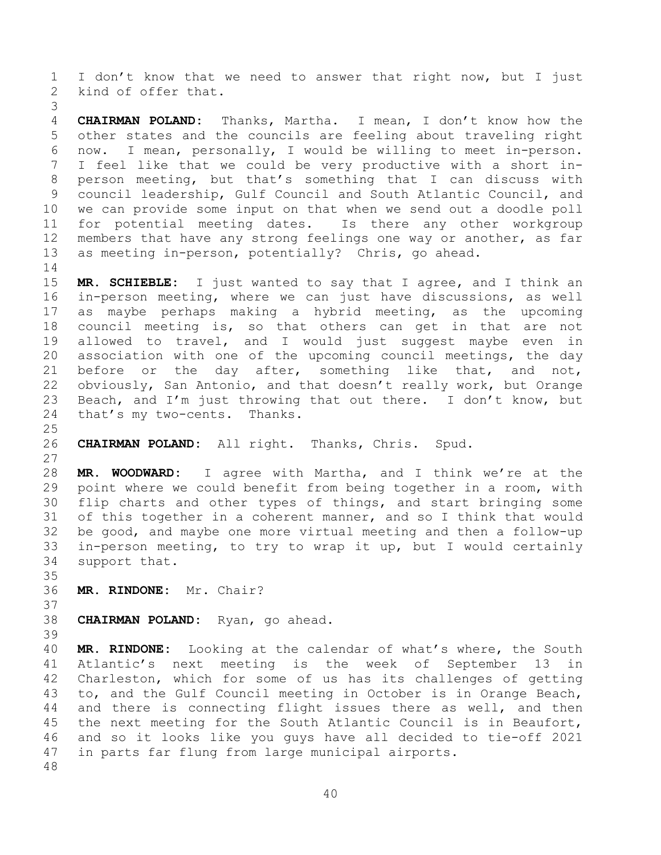I don't know that we need to answer that right now, but I just kind of offer that.

 **CHAIRMAN POLAND:** Thanks, Martha. I mean, I don't know how the other states and the councils are feeling about traveling right now. I mean, personally, I would be willing to meet in-person. I feel like that we could be very productive with a short in- person meeting, but that's something that I can discuss with council leadership, Gulf Council and South Atlantic Council, and we can provide some input on that when we send out a doodle poll for potential meeting dates. Is there any other workgroup members that have any strong feelings one way or another, as far as meeting in-person, potentially? Chris, go ahead. 

 **MR. SCHIEBLE:** I just wanted to say that I agree, and I think an in-person meeting, where we can just have discussions, as well as maybe perhaps making a hybrid meeting, as the upcoming council meeting is, so that others can get in that are not allowed to travel, and I would just suggest maybe even in association with one of the upcoming council meetings, the day 21 before or the day after, something like that, and not, obviously, San Antonio, and that doesn't really work, but Orange 23 Beach, and I'm just throwing that out there. I don't know, but that's my two-cents. Thanks.

## **CHAIRMAN POLAND:** All right. Thanks, Chris. Spud.

 **MR. WOODWARD:** I agree with Martha, and I think we're at the point where we could benefit from being together in a room, with flip charts and other types of things, and start bringing some of this together in a coherent manner, and so I think that would be good, and maybe one more virtual meeting and then a follow-up in-person meeting, to try to wrap it up, but I would certainly support that.

**MR. RINDONE:** Mr. Chair?

```
38 CHAIRMAN POLAND: Ryan, go ahead.
```

```
39
```
 **MR. RINDONE:** Looking at the calendar of what's where, the South Atlantic's next meeting is the week of September 13 in Charleston, which for some of us has its challenges of getting to, and the Gulf Council meeting in October is in Orange Beach, and there is connecting flight issues there as well, and then the next meeting for the South Atlantic Council is in Beaufort, and so it looks like you guys have all decided to tie-off 2021 in parts far flung from large municipal airports.